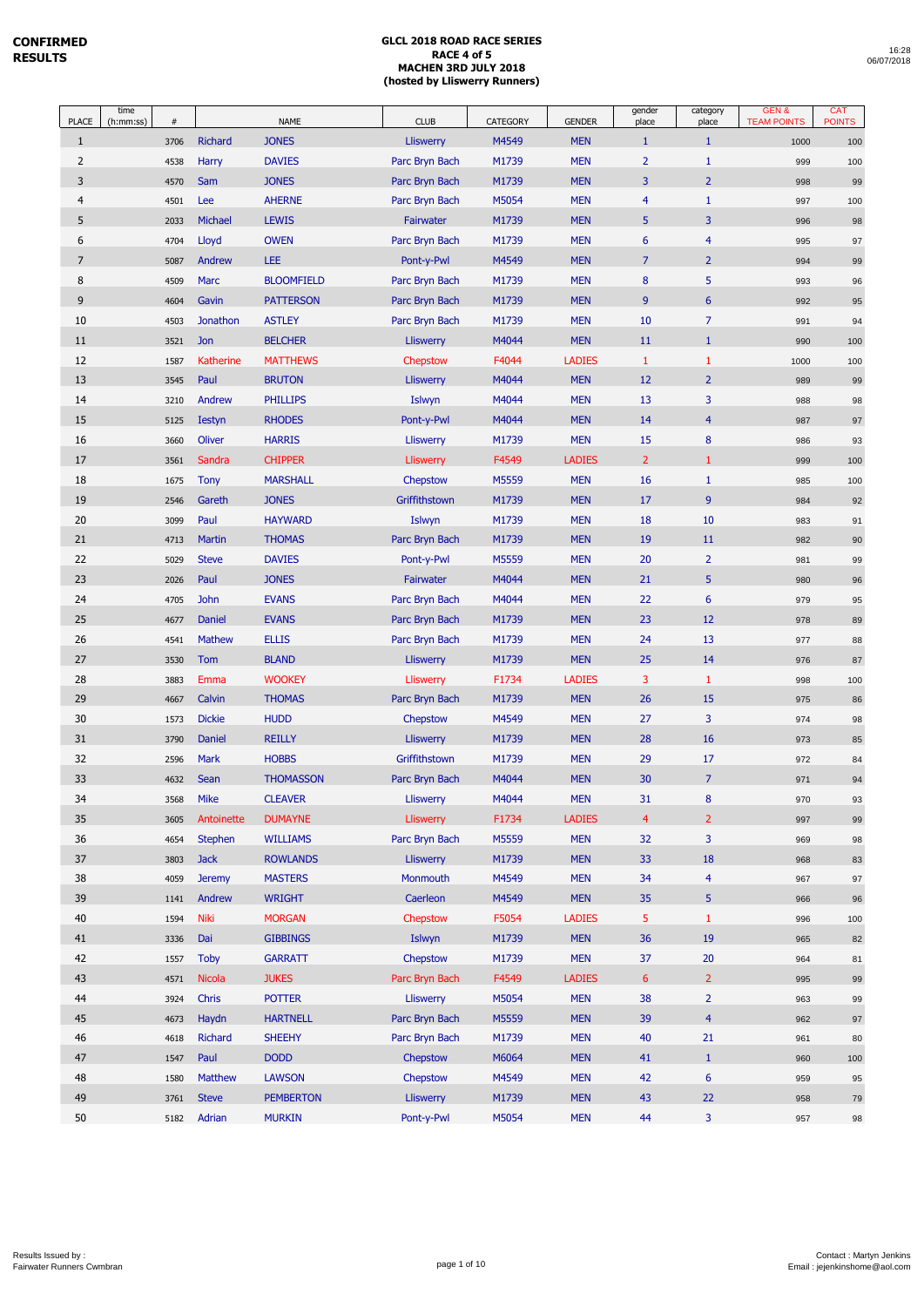| <b>PLACE</b>   | time<br>(h:mm:ss) | $\#$ |                  | <b>NAME</b>       | <b>CLUB</b>      | CATEGORY | <b>GENDER</b> | gender<br>place | category<br>place       | GEN&<br><b>TEAM POINTS</b> | <b>CAT</b><br><b>POINTS</b> |
|----------------|-------------------|------|------------------|-------------------|------------------|----------|---------------|-----------------|-------------------------|----------------------------|-----------------------------|
| $\mathbf{1}$   |                   | 3706 | Richard          | <b>JONES</b>      | <b>Lliswerry</b> | M4549    | <b>MEN</b>    | $\mathbf{1}$    | $\mathbf{1}$            | 1000                       | 100                         |
| 2              |                   | 4538 | <b>Harry</b>     | <b>DAVIES</b>     | Parc Bryn Bach   | M1739    | <b>MEN</b>    | $\overline{2}$  | $\mathbf{1}$            | 999                        | 100                         |
| 3              |                   | 4570 | Sam              | <b>JONES</b>      | Parc Bryn Bach   | M1739    | <b>MEN</b>    | 3               | $\overline{2}$          | 998                        | 99                          |
| $\overline{4}$ |                   | 4501 | Lee              | <b>AHERNE</b>     | Parc Bryn Bach   | M5054    | <b>MEN</b>    | $\overline{4}$  | $\mathbf{1}$            | 997                        | 100                         |
| 5              |                   | 2033 | Michael          | <b>LEWIS</b>      | Fairwater        | M1739    | <b>MEN</b>    | 5               | 3                       | 996                        | 98                          |
| 6              |                   | 4704 | Lloyd            | <b>OWEN</b>       | Parc Bryn Bach   | M1739    | <b>MEN</b>    | 6               | $\overline{4}$          | 995                        | 97                          |
| $\overline{7}$ |                   | 5087 | Andrew           | LEE               | Pont-y-Pwl       | M4549    | <b>MEN</b>    | $\overline{7}$  | $\overline{2}$          | 994                        | 99                          |
| 8              |                   | 4509 | Marc             | <b>BLOOMFIELD</b> | Parc Bryn Bach   | M1739    | <b>MEN</b>    | $\bf 8$         | 5                       | 993                        | 96                          |
| 9              |                   | 4604 | Gavin            | <b>PATTERSON</b>  | Parc Bryn Bach   | M1739    | <b>MEN</b>    | 9               | $6\phantom{1}6$         | 992                        | 95                          |
| 10             |                   | 4503 | Jonathon         | <b>ASTLEY</b>     | Parc Bryn Bach   | M1739    | <b>MEN</b>    | 10              | $\overline{7}$          | 991                        | 94                          |
| 11             |                   | 3521 | Jon              | <b>BELCHER</b>    | <b>Lliswerry</b> | M4044    | <b>MEN</b>    | 11              | $\mathbf{1}$            | 990                        | 100                         |
| 12             |                   | 1587 | <b>Katherine</b> | <b>MATTHEWS</b>   | Chepstow         | F4044    | <b>LADIES</b> | $\mathbf{1}$    | $\mathbf{1}$            | 1000                       | 100                         |
| 13             |                   | 3545 | Paul             | <b>BRUTON</b>     | <b>Lliswerry</b> | M4044    | <b>MEN</b>    | 12              | $\overline{2}$          | 989                        | 99                          |
| 14             |                   | 3210 | Andrew           | <b>PHILLIPS</b>   | Islwyn           | M4044    | <b>MEN</b>    | 13              | 3                       | 988                        | 98                          |
| 15             |                   | 5125 | <b>Iestyn</b>    | <b>RHODES</b>     | Pont-y-Pwl       | M4044    | <b>MEN</b>    | 14              | $\overline{4}$          | 987                        | 97                          |
| 16             |                   | 3660 | Oliver           | <b>HARRIS</b>     | <b>Lliswerry</b> | M1739    | <b>MEN</b>    | 15              | $\bf 8$                 | 986                        | 93                          |
| 17             |                   | 3561 | Sandra           | <b>CHIPPER</b>    | <b>Lliswerry</b> | F4549    | <b>LADIES</b> | $\overline{2}$  | $\mathbf{1}$            | 999                        | 100                         |
| 18             |                   | 1675 | <b>Tony</b>      | <b>MARSHALL</b>   | Chepstow         | M5559    | <b>MEN</b>    | 16              | $\mathbf{1}$            | 985                        | 100                         |
| 19             |                   | 2546 | Gareth           | <b>JONES</b>      | Griffithstown    | M1739    | <b>MEN</b>    | 17              | 9                       | 984                        | 92                          |
| $20\,$         |                   | 3099 | Paul             | <b>HAYWARD</b>    | Islwyn           | M1739    | <b>MEN</b>    | 18              | 10                      | 983                        | 91                          |
| 21             |                   | 4713 | <b>Martin</b>    | <b>THOMAS</b>     | Parc Bryn Bach   | M1739    | <b>MEN</b>    | 19              | 11                      | 982                        | 90                          |
| 22             |                   | 5029 | <b>Steve</b>     | <b>DAVIES</b>     | Pont-y-Pwl       | M5559    | <b>MEN</b>    | 20              | $\overline{2}$          | 981                        | 99                          |
| 23             |                   | 2026 | Paul             | <b>JONES</b>      | Fairwater        | M4044    | <b>MEN</b>    | 21              | 5                       | 980                        | 96                          |
| 24             |                   | 4705 | John             | <b>EVANS</b>      | Parc Bryn Bach   | M4044    | <b>MEN</b>    | 22              | $\boldsymbol{6}$        | 979                        | 95                          |
| 25             |                   | 4677 | <b>Daniel</b>    | <b>EVANS</b>      | Parc Bryn Bach   | M1739    | <b>MEN</b>    | 23              | 12                      | 978                        | 89                          |
| 26             |                   | 4541 | <b>Mathew</b>    | <b>ELLIS</b>      | Parc Bryn Bach   | M1739    | <b>MEN</b>    | 24              | 13                      | 977                        | 88                          |
| 27             |                   | 3530 | Tom              | <b>BLAND</b>      | <b>Lliswerry</b> | M1739    | <b>MEN</b>    | 25              | 14                      | 976                        | 87                          |
| 28             |                   | 3883 | Emma             | <b>WOOKEY</b>     | Lliswerry        | F1734    | <b>LADIES</b> | 3               | $\mathbf{1}$            | 998                        | 100                         |
| 29             |                   | 4667 | Calvin           | <b>THOMAS</b>     | Parc Bryn Bach   | M1739    | <b>MEN</b>    | 26              | 15                      | 975                        | 86                          |
| 30             |                   | 1573 | <b>Dickie</b>    | <b>HUDD</b>       | Chepstow         | M4549    | <b>MEN</b>    | 27              | 3                       | 974                        | 98                          |
| 31             |                   | 3790 | Daniel           | <b>REILLY</b>     | <b>Lliswerry</b> | M1739    | <b>MEN</b>    | 28              | 16                      | 973                        | 85                          |
| 32             |                   | 2596 | Mark             | <b>HOBBS</b>      | Griffithstown    | M1739    | <b>MEN</b>    | 29              | 17                      | 972                        | 84                          |
| 33             |                   | 4632 | Sean             | <b>THOMASSON</b>  | Parc Bryn Bach   | M4044    | <b>MEN</b>    | 30              | $\overline{7}$          | 971                        | 94                          |
| 34             |                   | 3568 | <b>Mike</b>      | <b>CLEAVER</b>    | Lliswerry        | M4044    | <b>MEN</b>    | 31              | 8                       | 970                        | 93                          |
| 35             |                   | 3605 | Antoinette       | <b>DUMAYNE</b>    | <b>Lliswerry</b> | F1734    | <b>LADIES</b> | $\overline{4}$  | $\overline{2}$          | 997                        | 99                          |
| 36             |                   | 4654 | <b>Stephen</b>   | <b>WILLIAMS</b>   | Parc Bryn Bach   | M5559    | <b>MEN</b>    | 32              | 3                       | 969                        | 98                          |
| 37             |                   | 3803 | <b>Jack</b>      | <b>ROWLANDS</b>   | <b>Lliswerry</b> | M1739    | <b>MEN</b>    | 33              | 18                      | 968                        | 83                          |
| 38             |                   | 4059 | <b>Jeremy</b>    | <b>MASTERS</b>    | Monmouth         | M4549    | <b>MEN</b>    | 34              | $\overline{4}$          | 967                        | 97                          |
| 39             |                   | 1141 | Andrew           | <b>WRIGHT</b>     | Caerleon         | M4549    | <b>MEN</b>    | 35              | 5                       | 966                        | 96                          |
| 40             |                   | 1594 | Niki             | <b>MORGAN</b>     | Chepstow         | F5054    | <b>LADIES</b> | 5               | $\mathbf{1}$            | 996                        | 100                         |
| 41             |                   | 3336 | Dai              | <b>GIBBINGS</b>   | Islwyn           | M1739    | <b>MEN</b>    | 36              | 19                      | 965                        | 82                          |
| 42             |                   | 1557 | <b>Toby</b>      | <b>GARRATT</b>    | Chepstow         | M1739    | <b>MEN</b>    | 37              | 20                      | 964                        | 81                          |
| 43             |                   | 4571 | <b>Nicola</b>    | <b>JUKES</b>      | Parc Bryn Bach   | F4549    | <b>LADIES</b> | $6\phantom{1}$  | $\overline{2}$          | 995                        | 99                          |
| 44             |                   | 3924 | Chris            | <b>POTTER</b>     | Lliswerry        | M5054    | <b>MEN</b>    | 38              | $\overline{2}$          | 963                        | 99                          |
| 45             |                   | 4673 | Haydn            | <b>HARTNELL</b>   | Parc Bryn Bach   | M5559    | <b>MEN</b>    | 39              | $\overline{4}$          | 962                        | 97                          |
| 46             |                   | 4618 | Richard          | <b>SHEEHY</b>     | Parc Bryn Bach   | M1739    | <b>MEN</b>    | 40              | 21                      | 961                        | 80                          |
| 47             |                   | 1547 | Paul             | <b>DODD</b>       | Chepstow         | M6064    | <b>MEN</b>    | 41              | $\mathbf{1}$            | 960                        | 100                         |
| 48             |                   | 1580 | Matthew          | <b>LAWSON</b>     | Chepstow         | M4549    | <b>MEN</b>    | 42              | $\boldsymbol{6}$        | 959                        | 95                          |
| 49             |                   | 3761 | <b>Steve</b>     | <b>PEMBERTON</b>  | <b>Lliswerry</b> | M1739    | <b>MEN</b>    | 43              | 22                      | 958                        | 79                          |
| 50             |                   | 5182 | Adrian           | <b>MURKIN</b>     | Pont-y-Pwl       | M5054    | <b>MEN</b>    | 44              | $\overline{\mathbf{3}}$ | 957                        | 98                          |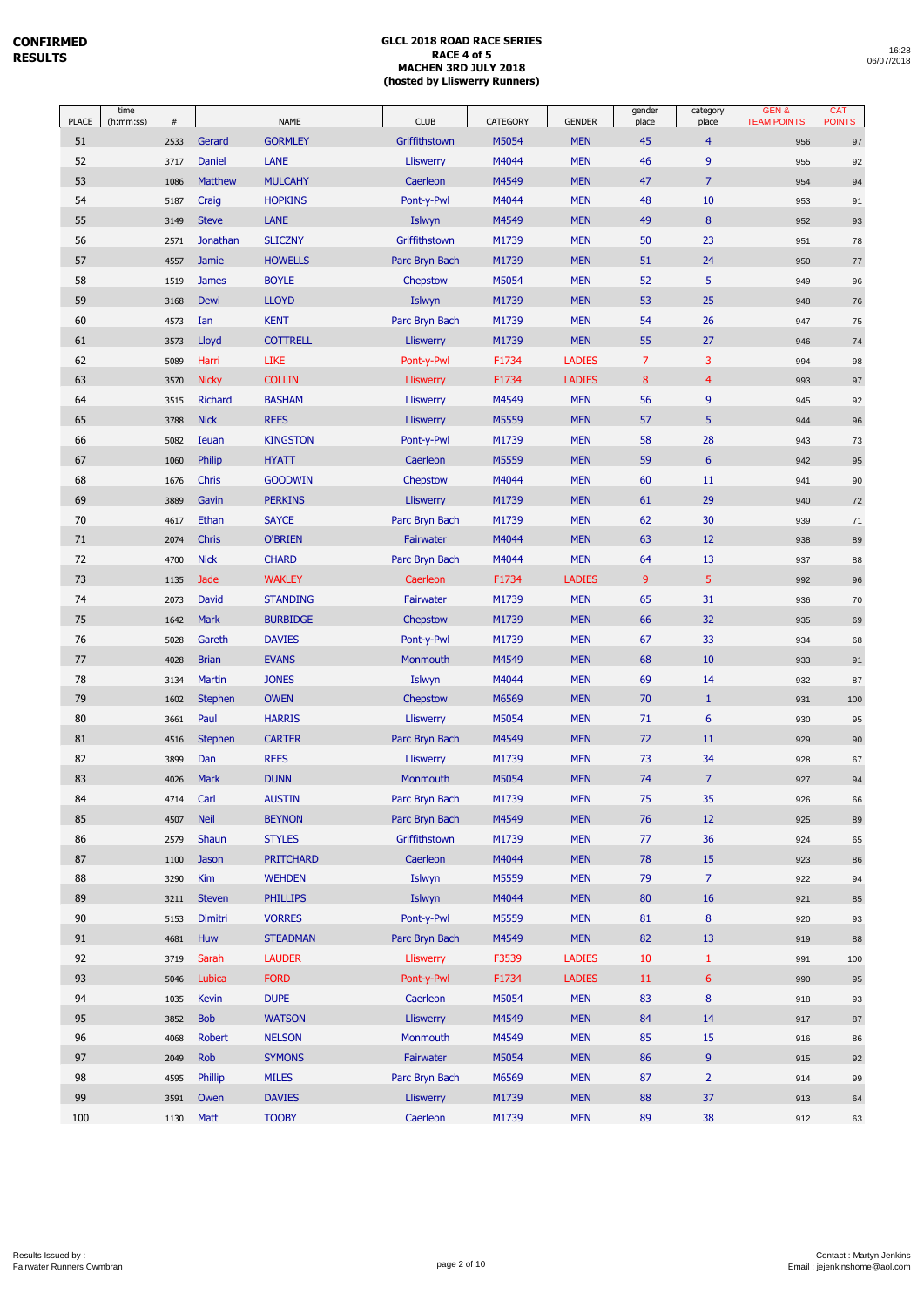| PLACE | time<br>(h:mm:ss)<br>$\#$ |      |                | <b>NAME</b>      | <b>CLUB</b>      | CATEGORY | <b>GENDER</b> | gender<br>place | category<br>place | GEN&<br><b>TEAM POINTS</b> | <b>CAT</b><br><b>POINTS</b> |
|-------|---------------------------|------|----------------|------------------|------------------|----------|---------------|-----------------|-------------------|----------------------------|-----------------------------|
| 51    | 2533                      |      | Gerard         | <b>GORMLEY</b>   | Griffithstown    | M5054    | <b>MEN</b>    | 45              | $\overline{4}$    | 956                        | 97                          |
| 52    | 3717                      |      | <b>Daniel</b>  | LANE             | Lliswerry        | M4044    | <b>MEN</b>    | 46              | 9                 | 955                        | 92                          |
| 53    | 1086                      |      | Matthew        | <b>MULCAHY</b>   | Caerleon         | M4549    | <b>MEN</b>    | 47              | $\overline{7}$    | 954                        | 94                          |
| 54    | 5187                      |      | Craig          | <b>HOPKINS</b>   | Pont-y-Pwl       | M4044    | <b>MEN</b>    | 48              | 10                | 953                        | 91                          |
| 55    | 3149                      |      | <b>Steve</b>   | <b>LANE</b>      | Islwyn           | M4549    | <b>MEN</b>    | 49              | $\bf 8$           | 952                        | 93                          |
| 56    | 2571                      |      | Jonathan       | <b>SLICZNY</b>   | Griffithstown    | M1739    | <b>MEN</b>    | 50              | 23                | 951                        | 78                          |
| 57    | 4557                      |      | <b>Jamie</b>   | <b>HOWELLS</b>   | Parc Bryn Bach   | M1739    | <b>MEN</b>    | 51              | 24                | 950                        | $77$                        |
| 58    | 1519                      |      | <b>James</b>   | <b>BOYLE</b>     | Chepstow         | M5054    | <b>MEN</b>    | 52              | 5                 | 949                        | 96                          |
| 59    | 3168                      |      | Dewi           | <b>LLOYD</b>     | Islwyn           | M1739    | <b>MEN</b>    | 53              | 25                | 948                        | 76                          |
| 60    | 4573                      |      | Ian            | <b>KENT</b>      | Parc Bryn Bach   | M1739    | <b>MEN</b>    | 54              | 26                | 947                        | 75                          |
| 61    | 3573                      |      | Lloyd          | <b>COTTRELL</b>  | <b>Lliswerry</b> | M1739    | <b>MEN</b>    | 55              | 27                | 946                        | 74                          |
| 62    | 5089                      |      | Harri          | <b>LIKE</b>      | Pont-y-Pwl       | F1734    | <b>LADIES</b> | $\overline{7}$  | 3                 | 994                        | 98                          |
| 63    | 3570                      |      | <b>Nicky</b>   | <b>COLLIN</b>    | Lliswerry        | F1734    | <b>LADIES</b> | 8               | $\overline{4}$    | 993                        | $97\,$                      |
| 64    | 3515                      |      | Richard        | <b>BASHAM</b>    | Lliswerry        | M4549    | <b>MEN</b>    | 56              | 9                 | 945                        | 92                          |
| 65    | 3788                      |      | <b>Nick</b>    | <b>REES</b>      | <b>Lliswerry</b> | M5559    | <b>MEN</b>    | 57              | 5                 | 944                        | 96                          |
| 66    | 5082                      |      | Ieuan          | <b>KINGSTON</b>  | Pont-y-Pwl       | M1739    | <b>MEN</b>    | 58              | 28                | 943                        | 73                          |
| 67    | 1060                      |      | Philip         | <b>HYATT</b>     | Caerleon         | M5559    | <b>MEN</b>    | 59              | $6\phantom{a}$    | 942                        | 95                          |
| 68    | 1676                      |      | Chris          | <b>GOODWIN</b>   | Chepstow         | M4044    | <b>MEN</b>    | 60              | 11                | 941                        | 90                          |
| 69    | 3889                      |      | Gavin          | <b>PERKINS</b>   | Lliswerry        | M1739    | <b>MEN</b>    | 61              | 29                | 940                        | $72\,$                      |
| 70    | 4617                      |      | Ethan          | <b>SAYCE</b>     | Parc Bryn Bach   | M1739    | <b>MEN</b>    | 62              | 30                | 939                        | 71                          |
| 71    | 2074                      |      | Chris          | <b>O'BRIEN</b>   | Fairwater        | M4044    | <b>MEN</b>    | 63              | 12                | 938                        | 89                          |
| 72    | 4700                      |      | <b>Nick</b>    | <b>CHARD</b>     | Parc Bryn Bach   | M4044    | <b>MEN</b>    | 64              | 13                | 937                        | 88                          |
| 73    | 1135                      |      | Jade           | <b>WAKLEY</b>    | Caerleon         | F1734    | <b>LADIES</b> | 9               | 5                 | 992                        | 96                          |
| 74    | 2073                      |      | David          | <b>STANDING</b>  | Fairwater        | M1739    | <b>MEN</b>    | 65              | 31                | 936                        | 70                          |
| 75    | 1642                      |      | <b>Mark</b>    | <b>BURBIDGE</b>  | Chepstow         | M1739    | <b>MEN</b>    | 66              | 32                | 935                        | 69                          |
| 76    | 5028                      |      | Gareth         | <b>DAVIES</b>    | Pont-y-Pwl       | M1739    | <b>MEN</b>    | 67              | 33                | 934                        | 68                          |
| 77    | 4028                      |      | <b>Brian</b>   | <b>EVANS</b>     | Monmouth         | M4549    | <b>MEN</b>    | 68              | 10                | 933                        | 91                          |
| 78    | 3134                      |      | <b>Martin</b>  | <b>JONES</b>     | Islwyn           | M4044    | <b>MEN</b>    | 69              | 14                | 932                        | 87                          |
| 79    | 1602                      |      | <b>Stephen</b> | <b>OWEN</b>      | Chepstow         | M6569    | <b>MEN</b>    | 70              | $\mathbf{1}$      | 931                        | 100                         |
| 80    | 3661                      |      | Paul           | <b>HARRIS</b>    | <b>Lliswerry</b> | M5054    | <b>MEN</b>    | 71              | 6                 | 930                        | 95                          |
| 81    | 4516                      |      | <b>Stephen</b> | <b>CARTER</b>    | Parc Bryn Bach   | M4549    | <b>MEN</b>    | 72              | 11                | 929                        | 90                          |
| 82    | 3899                      |      | Dan            | <b>REES</b>      | <b>Lliswerry</b> | M1739    | <b>MEN</b>    | 73              | 34                | 928                        | 67                          |
| 83    | 4026                      |      | Mark           | <b>DUNN</b>      | Monmouth         | M5054    | <b>MEN</b>    | 74              | $\overline{7}$    | 927                        | 94                          |
| 84    |                           | 4714 | Carl           | <b>AUSTIN</b>    | Parc Bryn Bach   | M1739    | <b>MEN</b>    | 75              | 35                | 926                        | 66                          |
| 85    | 4507                      |      | <b>Neil</b>    | <b>BEYNON</b>    | Parc Bryn Bach   | M4549    | <b>MEN</b>    | 76              | 12                | 925                        | 89                          |
| 86    | 2579                      |      | Shaun          | <b>STYLES</b>    | Griffithstown    | M1739    | <b>MEN</b>    | 77              | 36                | 924                        | 65                          |
| 87    | 1100                      |      | <b>Jason</b>   | <b>PRITCHARD</b> | Caerleon         | M4044    | <b>MEN</b>    | 78              | 15                | 923                        | 86                          |
| 88    | 3290                      |      | Kim            | <b>WEHDEN</b>    | Islwyn           | M5559    | <b>MEN</b>    | 79              | $\overline{7}$    | 922                        | 94                          |
| 89    | 3211                      |      | <b>Steven</b>  | <b>PHILLIPS</b>  | Islwyn           | M4044    | <b>MEN</b>    | 80              | 16                | 921                        | 85                          |
| 90    | 5153                      |      | Dimitri        | <b>VORRES</b>    | Pont-y-Pwl       | M5559    | <b>MEN</b>    | 81              | 8                 | 920                        | 93                          |
| 91    | 4681                      |      | Huw            | <b>STEADMAN</b>  | Parc Bryn Bach   | M4549    | <b>MEN</b>    | 82              | 13                | 919                        | 88                          |
| 92    | 3719                      |      | Sarah          | <b>LAUDER</b>    | <b>Lliswerry</b> | F3539    | <b>LADIES</b> | 10              | $\mathbf{1}$      | 991                        | 100                         |
| 93    | 5046                      |      | Lubica         | <b>FORD</b>      | Pont-y-Pwl       | F1734    | <b>LADIES</b> | 11              | $6\phantom{1}$    | 990                        | 95                          |
| 94    | 1035                      |      | <b>Kevin</b>   | <b>DUPE</b>      | Caerleon         | M5054    | <b>MEN</b>    | 83              | 8                 | 918                        | 93                          |
| 95    | 3852                      |      | <b>Bob</b>     | <b>WATSON</b>    | <b>Lliswerry</b> | M4549    | <b>MEN</b>    | 84              | 14                | 917                        | $87\,$                      |
| 96    | 4068                      |      | <b>Robert</b>  | <b>NELSON</b>    | Monmouth         | M4549    | <b>MEN</b>    | 85              | 15                | 916                        | 86                          |
| 97    | 2049                      |      | Rob            | <b>SYMONS</b>    | Fairwater        | M5054    | <b>MEN</b>    | 86              | 9                 | 915                        | 92                          |
| 98    | 4595                      |      | Phillip        | <b>MILES</b>     | Parc Bryn Bach   | M6569    | <b>MEN</b>    | 87              | $\overline{2}$    | 914                        | 99                          |
| 99    | 3591                      |      | Owen           | <b>DAVIES</b>    | <b>Lliswerry</b> | M1739    | <b>MEN</b>    | 88              | 37                | 913                        | 64                          |
| 100   |                           | 1130 | Matt           | <b>TOOBY</b>     | Caerleon         | M1739    | <b>MEN</b>    | 89              | 38                | 912                        | 63                          |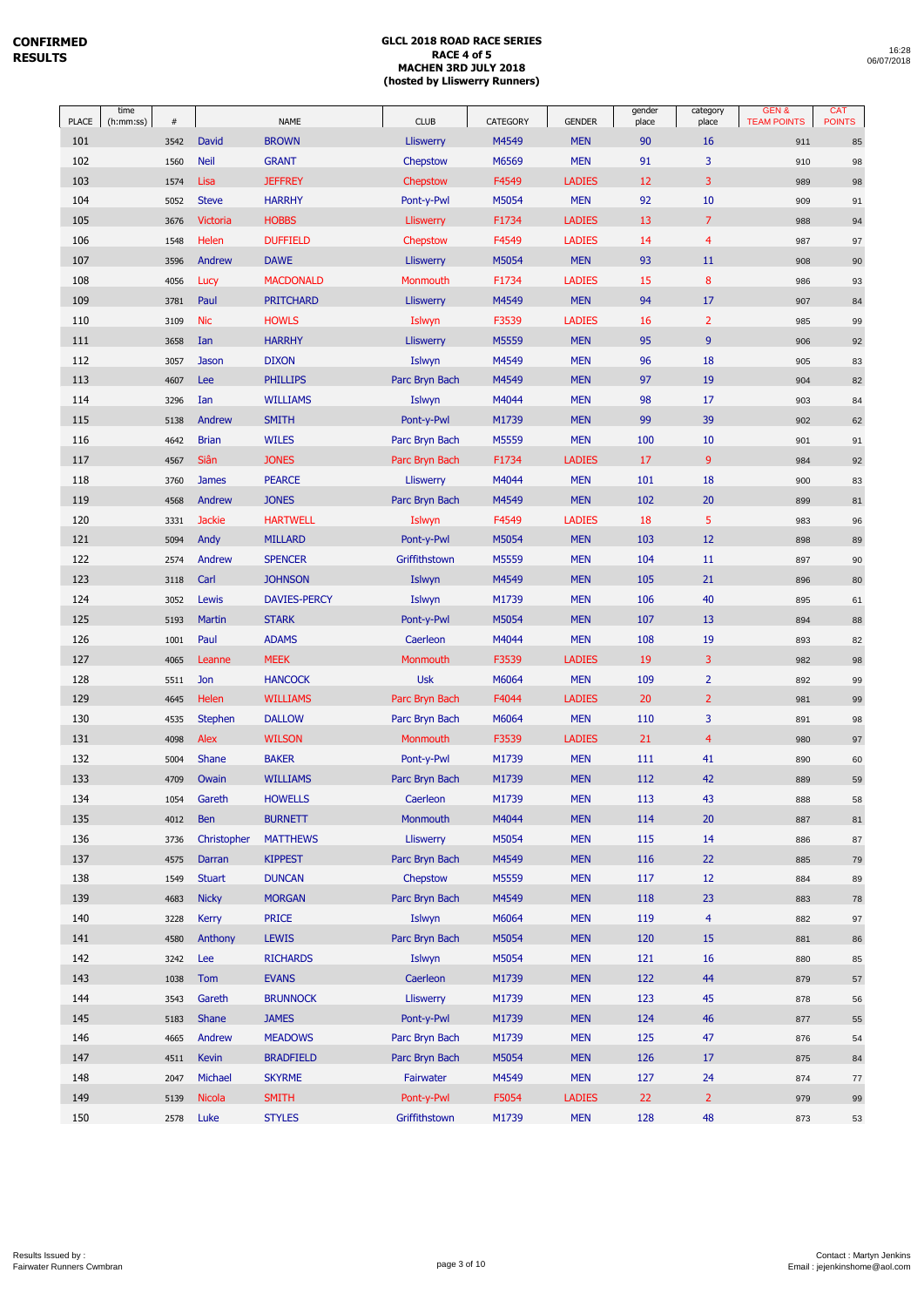| 16:28      |  |
|------------|--|
| 06/07/2018 |  |

| <b>PLACE</b> | time<br>(h:mm:ss) | $\#$ |               | <b>NAME</b>         | <b>CLUB</b>      | CATEGORY | <b>GENDER</b> | gender<br>place | category<br>place | GEN&<br><b>TEAM POINTS</b> | CAT<br><b>POINTS</b> |
|--------------|-------------------|------|---------------|---------------------|------------------|----------|---------------|-----------------|-------------------|----------------------------|----------------------|
| 101          |                   | 3542 | David         | <b>BROWN</b>        | <b>Lliswerry</b> | M4549    | <b>MEN</b>    | 90              | 16                | 911                        | 85                   |
| 102          |                   | 1560 | <b>Neil</b>   | <b>GRANT</b>        | Chepstow         | M6569    | <b>MEN</b>    | 91              | 3                 | 910                        | 98                   |
| 103          |                   | 1574 | Lisa          | <b>JEFFREY</b>      | Chepstow         | F4549    | <b>LADIES</b> | 12              | 3                 | 989                        | 98                   |
| 104          |                   | 5052 | <b>Steve</b>  | <b>HARRHY</b>       | Pont-y-Pwl       | M5054    | <b>MEN</b>    | 92              | 10                | 909                        | 91                   |
| 105          |                   | 3676 | Victoria      | <b>HOBBS</b>        | <b>Lliswerry</b> | F1734    | <b>LADIES</b> | 13              | $\overline{7}$    | 988                        | 94                   |
| 106          |                   | 1548 | Helen         | <b>DUFFIELD</b>     | Chepstow         | F4549    | <b>LADIES</b> | 14              | $\overline{4}$    | 987                        | 97                   |
| 107          |                   | 3596 | Andrew        | <b>DAWE</b>         | Lliswerry        | M5054    | <b>MEN</b>    | 93              | 11                | 908                        | 90                   |
| 108          |                   | 4056 | Lucy          | <b>MACDONALD</b>    | Monmouth         | F1734    | LADIES        | 15              | $\bf 8$           | 986                        | 93                   |
| 109          |                   | 3781 | Paul          | <b>PRITCHARD</b>    | <b>Lliswerry</b> | M4549    | <b>MEN</b>    | 94              | 17                | 907                        | 84                   |
| 110          |                   | 3109 | Nic           | <b>HOWLS</b>        | Islwyn           | F3539    | <b>LADIES</b> | 16              | $\overline{2}$    | 985                        | 99                   |
| 111          |                   | 3658 | Ian           | <b>HARRHY</b>       | <b>Lliswerry</b> | M5559    | <b>MEN</b>    | 95              | 9                 | 906                        | 92                   |
| 112          |                   | 3057 | Jason         | <b>DIXON</b>        | Islwyn           | M4549    | <b>MEN</b>    | 96              | 18                | 905                        | 83                   |
| 113          |                   | 4607 | Lee           | <b>PHILLIPS</b>     | Parc Bryn Bach   | M4549    | <b>MEN</b>    | 97              | 19                | 904                        | 82                   |
| 114          |                   | 3296 | Ian           | <b>WILLIAMS</b>     | Islwyn           | M4044    | <b>MEN</b>    | 98              | 17                | 903                        | 84                   |
| 115          |                   | 5138 | Andrew        | <b>SMITH</b>        | Pont-y-Pwl       | M1739    | <b>MEN</b>    | 99              | 39                | 902                        | 62                   |
| 116          |                   | 4642 | <b>Brian</b>  | <b>WILES</b>        | Parc Bryn Bach   | M5559    | <b>MEN</b>    | 100             | 10                | 901                        | 91                   |
| 117          |                   | 4567 | Siân          | <b>JONES</b>        | Parc Bryn Bach   | F1734    | <b>LADIES</b> | 17              | 9                 | 984                        | 92                   |
| 118          |                   | 3760 | <b>James</b>  | <b>PEARCE</b>       | <b>Lliswerry</b> | M4044    | <b>MEN</b>    | 101             | 18                | 900                        | 83                   |
| 119          |                   | 4568 | Andrew        | <b>JONES</b>        | Parc Bryn Bach   | M4549    | <b>MEN</b>    | 102             | 20                | 899                        | 81                   |
| 120          |                   | 3331 | <b>Jackie</b> | <b>HARTWELL</b>     | Islwyn           | F4549    | <b>LADIES</b> | 18              | 5                 | 983                        | 96                   |
| 121          |                   | 5094 | Andy          | <b>MILLARD</b>      | Pont-y-Pwl       | M5054    | <b>MEN</b>    | 103             | 12                | 898                        | 89                   |
| 122          |                   | 2574 | Andrew        | <b>SPENCER</b>      | Griffithstown    | M5559    | <b>MEN</b>    | 104             | 11                | 897                        | 90                   |
| 123          |                   | 3118 | Carl          | <b>JOHNSON</b>      | Islwyn           | M4549    | <b>MEN</b>    | 105             | 21                | 896                        | 80                   |
| 124          |                   | 3052 | Lewis         | <b>DAVIES-PERCY</b> | Islwyn           | M1739    | <b>MEN</b>    | 106             | 40                | 895                        | 61                   |
| 125          |                   | 5193 | Martin        | <b>STARK</b>        | Pont-y-Pwl       | M5054    | <b>MEN</b>    | 107             | 13                | 894                        | 88                   |
| 126          |                   | 1001 | Paul          | <b>ADAMS</b>        | Caerleon         | M4044    | <b>MEN</b>    | 108             | 19                | 893                        | 82                   |
| 127          |                   | 4065 | Leanne        | <b>MEEK</b>         | Monmouth         | F3539    | <b>LADIES</b> | 19              | 3                 | 982                        | 98                   |
| 128          |                   | 5511 | Jon           | <b>HANCOCK</b>      | <b>Usk</b>       | M6064    | <b>MEN</b>    | 109             | $\overline{2}$    | 892                        | 99                   |
| 129          |                   | 4645 | Helen         | <b>WILLIAMS</b>     | Parc Bryn Bach   | F4044    | <b>LADIES</b> | 20              | $\overline{2}$    | 981                        | 99                   |
| 130          |                   | 4535 | Stephen       | <b>DALLOW</b>       | Parc Bryn Bach   | M6064    | <b>MEN</b>    | 110             | 3                 | 891                        | 98                   |
| 131          |                   | 4098 | Alex          | <b>WILSON</b>       | Monmouth         | F3539    | <b>LADIES</b> | 21              | $\overline{4}$    | 980                        | 97                   |
| 132          |                   | 5004 | Shane         | <b>BAKER</b>        | Pont-y-Pwl       | M1739    | <b>MEN</b>    | 111             | 41                | 890                        | 60                   |
| 133          |                   | 4709 | Owain         | <b>WILLIAMS</b>     | Parc Bryn Bach   | M1739    | <b>MEN</b>    | 112             | 42                | 889                        | 59                   |
| 134          |                   | 1054 | Gareth        | <b>HOWELLS</b>      | Caerleon         | M1739    | <b>MEN</b>    | 113             | 43                | 888                        | 58                   |
| 135          |                   | 4012 | <b>Ben</b>    | <b>BURNETT</b>      | Monmouth         | M4044    | <b>MEN</b>    | 114             | 20                | 887                        | 81                   |
| 136          |                   | 3736 | Christopher   | <b>MATTHEWS</b>     | <b>Lliswerry</b> | M5054    | <b>MEN</b>    | 115             | 14                | 886                        | 87                   |
| 137          |                   | 4575 | Darran        | <b>KIPPEST</b>      | Parc Bryn Bach   | M4549    | <b>MEN</b>    | 116             | 22                | 885                        | 79                   |
| 138          |                   | 1549 | <b>Stuart</b> | <b>DUNCAN</b>       | Chepstow         | M5559    | <b>MEN</b>    | 117             | 12                | 884                        | 89                   |
| 139          |                   | 4683 | <b>Nicky</b>  | <b>MORGAN</b>       | Parc Bryn Bach   | M4549    | <b>MEN</b>    | 118             | 23                | 883                        | 78                   |
| 140          |                   | 3228 | Kerry         | <b>PRICE</b>        | Islwyn           | M6064    | <b>MEN</b>    | 119             | $\overline{4}$    | 882                        | 97                   |
| 141          |                   | 4580 | Anthony       | <b>LEWIS</b>        | Parc Bryn Bach   | M5054    | <b>MEN</b>    | 120             | 15                | 881                        | 86                   |
| 142          |                   | 3242 | Lee           | <b>RICHARDS</b>     | Islwyn           | M5054    | <b>MEN</b>    | 121             | 16                | 880                        | 85                   |
| 143          |                   | 1038 | Tom           | <b>EVANS</b>        | Caerleon         | M1739    | <b>MEN</b>    | 122             | 44                | 879                        | 57                   |
| 144          |                   | 3543 | Gareth        | <b>BRUNNOCK</b>     | <b>Lliswerry</b> | M1739    | <b>MEN</b>    | 123             | 45                | 878                        | 56                   |
| 145          |                   | 5183 | Shane         | <b>JAMES</b>        | Pont-y-Pwl       | M1739    | <b>MEN</b>    | 124             | 46                | 877                        | 55                   |
| 146          |                   | 4665 | Andrew        | <b>MEADOWS</b>      | Parc Bryn Bach   | M1739    | <b>MEN</b>    | 125             | 47                | 876                        | 54                   |
| 147          |                   | 4511 | <b>Kevin</b>  | <b>BRADFIELD</b>    | Parc Bryn Bach   | M5054    | <b>MEN</b>    | 126             | 17                | 875                        | 84                   |
| 148          |                   | 2047 | Michael       | <b>SKYRME</b>       | Fairwater        | M4549    | <b>MEN</b>    | 127             | 24                | 874                        | 77                   |
| 149          |                   | 5139 | <b>Nicola</b> | <b>SMITH</b>        | Pont-y-Pwl       | F5054    | <b>LADIES</b> | 22              | $\overline{2}$    | 979                        | 99                   |
| 150          |                   | 2578 | Luke          | <b>STYLES</b>       | Griffithstown    | M1739    | <b>MEN</b>    | 128             | 48                | 873                        | 53                   |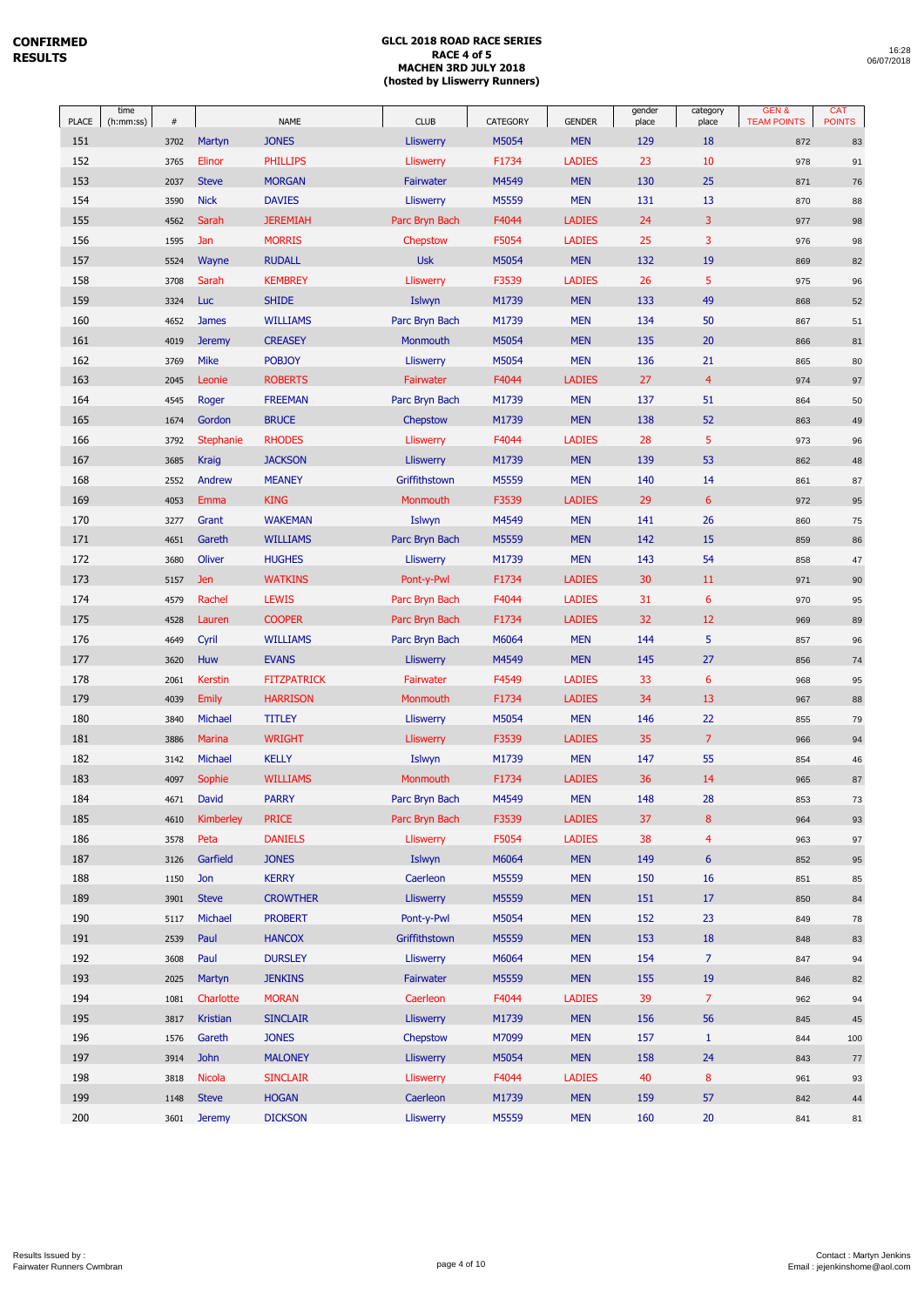| PLACE | time<br>(h:mm:ss) | $\#$ |                  | <b>NAME</b>        | <b>CLUB</b>      | CATEGORY | <b>GENDER</b> | gender<br>place | category<br>place | <b>GEN&amp;</b><br><b>TEAM POINTS</b> | CAT<br><b>POINTS</b> |
|-------|-------------------|------|------------------|--------------------|------------------|----------|---------------|-----------------|-------------------|---------------------------------------|----------------------|
| 151   |                   | 3702 | Martyn           | <b>JONES</b>       | <b>Lliswerry</b> | M5054    | <b>MEN</b>    | 129             | 18                | 872                                   | 83                   |
| 152   |                   | 3765 | Elinor           | <b>PHILLIPS</b>    | Lliswerry        | F1734    | <b>LADIES</b> | 23              | 10                | 978                                   | 91                   |
| 153   |                   | 2037 | <b>Steve</b>     | <b>MORGAN</b>      | Fairwater        | M4549    | <b>MEN</b>    | 130             | 25                | 871                                   | 76                   |
| 154   |                   | 3590 | <b>Nick</b>      | <b>DAVIES</b>      | Lliswerry        | M5559    | <b>MEN</b>    | 131             | 13                | 870                                   | 88                   |
| 155   |                   | 4562 | Sarah            | <b>JEREMIAH</b>    | Parc Bryn Bach   | F4044    | <b>LADIES</b> | 24              | 3                 | 977                                   | 98                   |
| 156   |                   | 1595 | Jan              | <b>MORRIS</b>      | Chepstow         | F5054    | <b>LADIES</b> | 25              | 3                 | 976                                   | 98                   |
| 157   |                   | 5524 | Wayne            | <b>RUDALL</b>      | <b>Usk</b>       | M5054    | <b>MEN</b>    | 132             | 19                | 869                                   | 82                   |
| 158   |                   | 3708 | Sarah            | <b>KEMBREY</b>     | <b>Lliswerry</b> | F3539    | <b>LADIES</b> | 26              | 5                 | 975                                   | 96                   |
| 159   |                   | 3324 | Luc              | <b>SHIDE</b>       | Islwyn           | M1739    | <b>MEN</b>    | 133             | 49                | 868                                   | 52                   |
| 160   |                   | 4652 | <b>James</b>     | <b>WILLIAMS</b>    | Parc Bryn Bach   | M1739    | <b>MEN</b>    | 134             | 50                | 867                                   | 51                   |
| 161   |                   | 4019 | <b>Jeremy</b>    | <b>CREASEY</b>     | Monmouth         | M5054    | <b>MEN</b>    | 135             | 20                | 866                                   | 81                   |
| 162   |                   | 3769 | <b>Mike</b>      | <b>POBJOY</b>      | <b>Lliswerry</b> | M5054    | <b>MEN</b>    | 136             | 21                | 865                                   | 80                   |
| 163   |                   | 2045 | Leonie           | <b>ROBERTS</b>     | Fairwater        | F4044    | <b>LADIES</b> | 27              | $\overline{4}$    | 974                                   | 97                   |
| 164   |                   | 4545 | Roger            | <b>FREEMAN</b>     | Parc Bryn Bach   | M1739    | <b>MEN</b>    | 137             | 51                | 864                                   | 50                   |
| 165   |                   | 1674 | Gordon           | <b>BRUCE</b>       | Chepstow         | M1739    | <b>MEN</b>    | 138             | 52                | 863                                   | 49                   |
| 166   |                   | 3792 | <b>Stephanie</b> | <b>RHODES</b>      | Lliswerry        | F4044    | <b>LADIES</b> | 28              | 5                 | 973                                   | 96                   |
| 167   |                   | 3685 | Kraig            | <b>JACKSON</b>     | <b>Lliswerry</b> | M1739    | <b>MEN</b>    | 139             | 53                | 862                                   | 48                   |
| 168   |                   | 2552 | Andrew           | <b>MEANEY</b>      | Griffithstown    | M5559    | <b>MEN</b>    | 140             | 14                | 861                                   | 87                   |
| 169   |                   | 4053 | Emma             | <b>KING</b>        | Monmouth         | F3539    | <b>LADIES</b> | 29              | 6                 | 972                                   | 95                   |
| 170   |                   | 3277 | Grant            | <b>WAKEMAN</b>     | Islwyn           | M4549    | <b>MEN</b>    | 141             | 26                | 860                                   | 75                   |
| 171   |                   | 4651 | Gareth           | <b>WILLIAMS</b>    | Parc Bryn Bach   | M5559    | <b>MEN</b>    | 142             | 15                | 859                                   | 86                   |
| 172   |                   | 3680 | Oliver           | <b>HUGHES</b>      | <b>Lliswerry</b> | M1739    | <b>MEN</b>    | 143             | 54                | 858                                   | 47                   |
| 173   |                   | 5157 | Jen              | <b>WATKINS</b>     | Pont-y-Pwl       | F1734    | <b>LADIES</b> | 30              | 11                | 971                                   | $90\,$               |
| 174   |                   | 4579 | Rachel           | <b>LEWIS</b>       | Parc Bryn Bach   | F4044    | <b>LADIES</b> | 31              | 6                 | 970                                   | 95                   |
| 175   |                   | 4528 | Lauren           | <b>COOPER</b>      | Parc Bryn Bach   | F1734    | <b>LADIES</b> | 32              | 12                | 969                                   | 89                   |
| 176   |                   | 4649 | Cyril            | <b>WILLIAMS</b>    | Parc Bryn Bach   | M6064    | <b>MEN</b>    | 144             | 5                 | 857                                   | 96                   |
| 177   |                   | 3620 | Huw              | <b>EVANS</b>       | <b>Lliswerry</b> | M4549    | <b>MEN</b>    | 145             | 27                | 856                                   | 74                   |
| 178   |                   | 2061 | <b>Kerstin</b>   | <b>FITZPATRICK</b> | Fairwater        | F4549    | <b>LADIES</b> | 33              | $6\phantom{1}6$   | 968                                   | 95                   |
| 179   |                   | 4039 | <b>Emily</b>     | <b>HARRISON</b>    | Monmouth         | F1734    | <b>LADIES</b> | 34              | 13                | 967                                   | 88                   |
| 180   |                   | 3840 | Michael          | <b>TITLEY</b>      | <b>Lliswerry</b> | M5054    | <b>MEN</b>    | 146             | 22                | 855                                   | 79                   |
| 181   |                   | 3886 | Marina           | <b>WRIGHT</b>      | <b>Lliswerry</b> | F3539    | <b>LADIES</b> | 35              | $\overline{7}$    | 966                                   | 94                   |
| 182   |                   | 3142 | Michael          | <b>KELLY</b>       | Islwyn           | M1739    | <b>MEN</b>    | 147             | 55                | 854                                   | 46                   |
| 183   |                   | 4097 | Sophie           | <b>WILLIAMS</b>    | Monmouth         | F1734    | <b>LADIES</b> | 36              | 14                | 965                                   | 87                   |
| 184   |                   | 4671 | David            | <b>PARRY</b>       | Parc Bryn Bach   | M4549    | <b>MEN</b>    | 148             | 28                | 853                                   | 73                   |
| 185   |                   | 4610 | Kimberley        | <b>PRICE</b>       | Parc Bryn Bach   | F3539    | <b>LADIES</b> | 37              | 8                 | 964                                   | 93                   |
| 186   |                   | 3578 | Peta             | <b>DANIELS</b>     | <b>Lliswerry</b> | F5054    | <b>LADIES</b> | 38              | $\overline{4}$    | 963                                   | 97                   |
| 187   |                   | 3126 | Garfield         | <b>JONES</b>       | Islwyn           | M6064    | <b>MEN</b>    | 149             | $6\,$             | 852                                   | 95                   |
| 188   |                   | 1150 | Jon              | <b>KERRY</b>       | Caerleon         | M5559    | <b>MEN</b>    | 150             | 16                | 851                                   | 85                   |
| 189   |                   | 3901 | <b>Steve</b>     | <b>CROWTHER</b>    | <b>Lliswerry</b> | M5559    | <b>MEN</b>    | 151             | 17                | 850                                   | 84                   |
| 190   |                   | 5117 | Michael          | <b>PROBERT</b>     | Pont-y-Pwl       | M5054    | <b>MEN</b>    | 152             | 23                | 849                                   | 78                   |
| 191   |                   | 2539 | Paul             | <b>HANCOX</b>      | Griffithstown    | M5559    | <b>MEN</b>    | 153             | 18                | 848                                   | 83                   |
| 192   |                   | 3608 | Paul             | <b>DURSLEY</b>     | <b>Lliswerry</b> | M6064    | <b>MEN</b>    | 154             | $\overline{7}$    | 847                                   | 94                   |
| 193   |                   | 2025 | Martyn           | <b>JENKINS</b>     | Fairwater        | M5559    | <b>MEN</b>    | 155             | 19                | 846                                   | 82                   |
| 194   |                   | 1081 | Charlotte        | <b>MORAN</b>       | Caerleon         | F4044    | <b>LADIES</b> | 39              | $\overline{7}$    | 962                                   | 94                   |
| 195   |                   | 3817 | Kristian         | <b>SINCLAIR</b>    | <b>Lliswerry</b> | M1739    | <b>MEN</b>    | 156             | 56                | 845                                   | 45                   |
| 196   |                   | 1576 | Gareth           | <b>JONES</b>       | Chepstow         | M7099    | <b>MEN</b>    | 157             | $\mathbf{1}$      | 844                                   | 100                  |
| 197   |                   | 3914 | <b>John</b>      | <b>MALONEY</b>     | <b>Lliswerry</b> | M5054    | <b>MEN</b>    | 158             | 24                | 843                                   | $77 \,$              |
| 198   |                   | 3818 | <b>Nicola</b>    | <b>SINCLAIR</b>    | <b>Lliswerry</b> | F4044    | <b>LADIES</b> | 40              | $\bf 8$           | 961                                   | 93                   |
| 199   |                   | 1148 | <b>Steve</b>     | <b>HOGAN</b>       | Caerleon         | M1739    | <b>MEN</b>    | 159             | 57                | 842                                   | $\bf 44$             |
| 200   |                   | 3601 | <b>Jeremy</b>    | <b>DICKSON</b>     | <b>Lliswerry</b> | M5559    | <b>MEN</b>    | 160             | 20                | 841                                   | 81                   |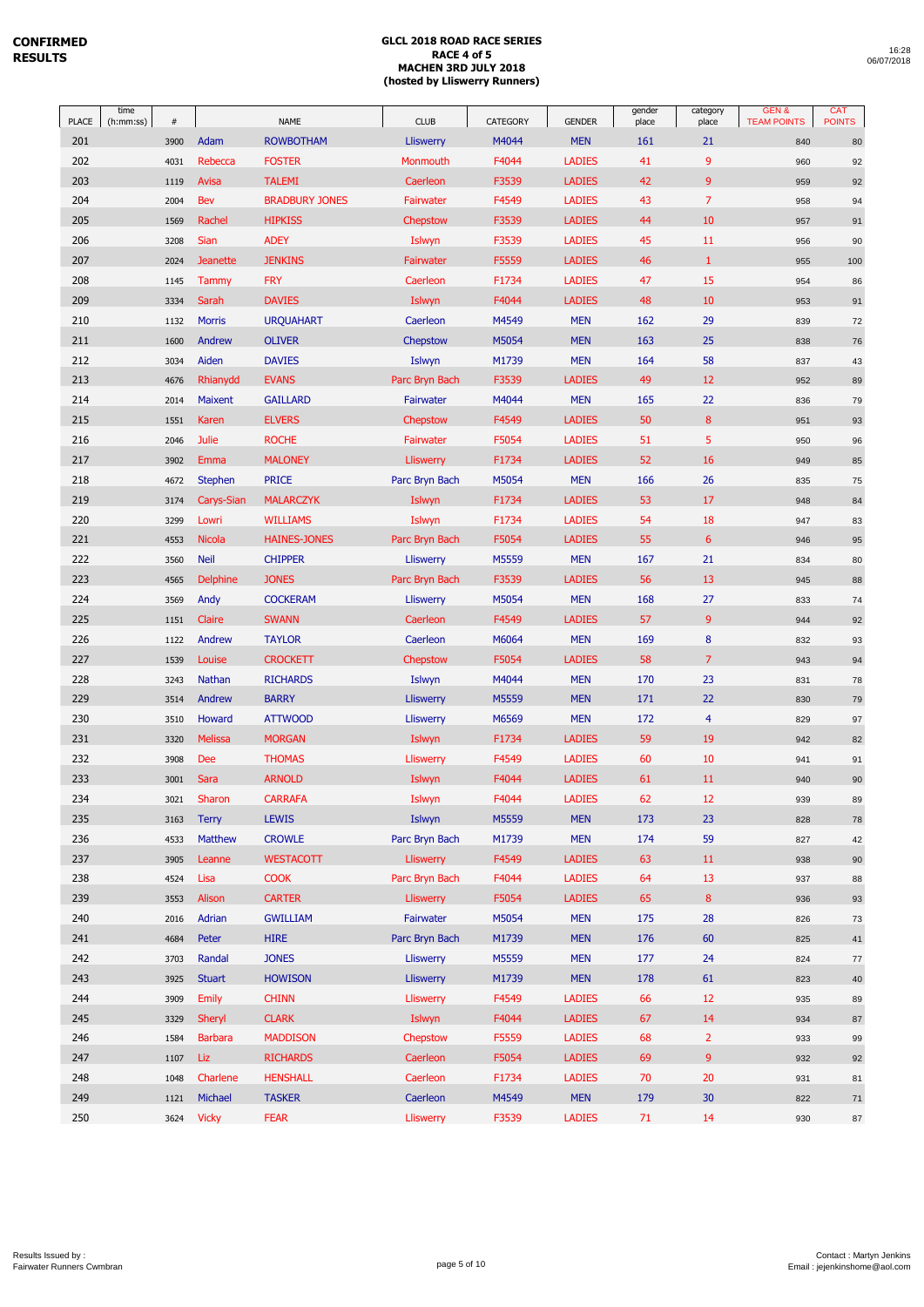| 16:28      |  |
|------------|--|
| 06/07/2018 |  |

| PLACE      | time<br>(h:mm:ss)<br>$\#$ |                        | <b>NAME</b>                    | <b>CLUB</b>                 | CATEGORY       | <b>GENDER</b>               | gender<br>place | category<br>place | GEN&<br><b>TEAM POINTS</b> | <b>CAT</b><br><b>POINTS</b> |
|------------|---------------------------|------------------------|--------------------------------|-----------------------------|----------------|-----------------------------|-----------------|-------------------|----------------------------|-----------------------------|
| 201        | 3900                      | Adam                   | <b>ROWBOTHAM</b>               | <b>Lliswerry</b>            | M4044          | <b>MEN</b>                  | 161             | 21                | 840                        | $80\,$                      |
| 202        | 4031                      | Rebecca                | <b>FOSTER</b>                  | Monmouth                    | F4044          | <b>LADIES</b>               | 41              | 9                 | 960                        | 92                          |
| 203        | 1119                      | Avisa                  | <b>TALEMI</b>                  | Caerleon                    | F3539          | <b>LADIES</b>               | 42              | 9                 | 959                        | 92                          |
| 204        | 2004                      | Bev                    | <b>BRADBURY JONES</b>          | Fairwater                   | F4549          | <b>LADIES</b>               | 43              | $\overline{7}$    | 958                        | 94                          |
| 205        | 1569                      | Rachel                 | <b>HIPKISS</b>                 | Chepstow                    | F3539          | <b>LADIES</b>               | 44              | 10                | 957                        | 91                          |
| 206        | 3208                      | <b>Sian</b>            | <b>ADEY</b>                    | Islwyn                      | F3539          | <b>LADIES</b>               | 45              | 11                | 956                        | 90                          |
| 207        | 2024                      | <b>Jeanette</b>        | <b>JENKINS</b>                 | <b>Fairwater</b>            | F5559          | <b>LADIES</b>               | 46              | $\mathbf{1}$      | 955                        | $100\,$                     |
| 208        | 1145                      | Tammy                  | <b>FRY</b>                     | Caerleon                    | F1734          | <b>LADIES</b>               | 47              | 15                | 954                        | 86                          |
| 209        | 3334                      | Sarah                  | <b>DAVIES</b>                  | Islwyn                      | F4044          | <b>LADIES</b>               | 48              | 10                | 953                        | 91                          |
| 210        | 1132                      | <b>Morris</b>          | <b>URQUAHART</b>               | Caerleon                    | M4549          | <b>MEN</b>                  | 162             | 29                | 839                        | $72\,$                      |
| 211        | 1600                      | Andrew                 | <b>OLIVER</b>                  | Chepstow                    | M5054          | <b>MEN</b>                  | 163             | 25                | 838                        | $76\,$                      |
| 212        | 3034                      | Aiden                  | <b>DAVIES</b>                  | Islwyn                      | M1739          | <b>MEN</b>                  | 164             | 58                | 837                        | 43                          |
| 213        | 4676                      | Rhianydd               | <b>EVANS</b>                   | Parc Bryn Bach              | F3539          | <b>LADIES</b>               | 49              | 12                | 952                        | 89                          |
| 214        | 2014                      | Maixent                | <b>GAILLARD</b>                | Fairwater                   | M4044          | <b>MEN</b>                  | 165             | 22                | 836                        | 79                          |
| 215        | 1551                      | Karen                  | <b>ELVERS</b>                  | Chepstow                    | F4549          | <b>LADIES</b>               | 50              | 8                 | 951                        | 93                          |
| 216        | 2046                      | Julie                  | <b>ROCHE</b>                   | Fairwater                   | F5054          | <b>LADIES</b>               | 51              | 5                 | 950                        | 96                          |
| 217        | 3902                      | Emma                   | <b>MALONEY</b>                 | <b>Lliswerry</b>            | F1734          | <b>LADIES</b>               | 52              | 16                | 949                        | $85\,$                      |
| 218        | 4672                      | <b>Stephen</b>         | <b>PRICE</b>                   | Parc Bryn Bach              | M5054          | <b>MEN</b>                  | 166             | 26                | 835                        | 75                          |
| 219        | 3174                      | Carys-Sian             | <b>MALARCZYK</b>               | Islwyn                      | F1734          | <b>LADIES</b>               | 53              | 17                | 948                        | 84                          |
| 220        | 3299                      | Lowri                  | <b>WILLIAMS</b>                | Islwyn                      | F1734          | <b>LADIES</b>               | 54              | 18                | 947                        | 83                          |
| 221        | 4553                      | <b>Nicola</b>          | <b>HAINES-JONES</b>            | Parc Bryn Bach              | F5054          | <b>LADIES</b>               | 55              | 6                 | 946                        | 95                          |
| 222        | 3560                      | <b>Neil</b>            | <b>CHIPPER</b>                 | <b>Lliswerry</b>            | M5559          | <b>MEN</b>                  | 167             | 21                | 834                        | 80                          |
| 223        | 4565                      | <b>Delphine</b>        | <b>JONES</b>                   | Parc Bryn Bach              | F3539          | <b>LADIES</b>               | 56              | 13                | 945                        | 88                          |
| 224        | 3569                      | Andy                   | <b>COCKERAM</b>                | <b>Lliswerry</b>            | M5054          | <b>MEN</b>                  | 168             | 27                | 833                        | 74                          |
| 225        | 1151                      | Claire                 | <b>SWANN</b>                   | Caerleon                    | F4549          | <b>LADIES</b>               | 57              | 9                 | 944                        | 92                          |
| 226        | 1122                      | Andrew                 | <b>TAYLOR</b>                  | Caerleon                    | M6064          | <b>MEN</b>                  | 169             | 8                 | 832                        | 93                          |
| 227        | 1539                      | Louise                 | <b>CROCKETT</b>                | Chepstow                    | F5054          | <b>LADIES</b>               | 58              | $\overline{7}$    | 943                        | 94                          |
| 228        | 3243                      | Nathan                 | <b>RICHARDS</b>                | Islwyn                      | M4044          | <b>MEN</b>                  | 170             | 23                | 831                        | 78                          |
| 229        | 3514                      | Andrew                 | <b>BARRY</b>                   | <b>Lliswerry</b>            | M5559          | <b>MEN</b>                  | 171             | 22                | 830                        | 79                          |
| 230        | 3510                      | Howard                 | <b>ATTWOOD</b>                 | <b>Lliswerry</b>            | M6569          | <b>MEN</b>                  | 172             | 4                 | 829                        | 97                          |
| 231        | 3320                      | <b>Melissa</b>         | <b>MORGAN</b>                  | Islwyn                      | F1734          | <b>LADIES</b>               | 59              | 19                | 942                        | 82                          |
| 232        | 3908                      | <b>Dee</b>             | <b>THOMAS</b>                  | <b>Lliswerry</b>            | F4549          | <b>LADIES</b>               | 60              | 10                | 941                        | 91                          |
| 233        | 3001                      | Sara                   | <b>ARNOLD</b>                  | Islwyn                      | F4044          | <b>LADIES</b>               | 61              | 11                | 940                        | $90\,$                      |
| 234        | 3021                      | Sharon                 | <b>CARRAFA</b>                 | Islwyn                      | F4044          | <b>LADIES</b>               | 62              | 12                | 939                        | 89                          |
| 235        | 3163                      | <b>Terry</b>           | <b>LEWIS</b>                   | Islwyn                      | M5559          | <b>MEN</b>                  | 173             | 23                | 828                        | 78                          |
| 236        | 4533                      | Matthew                | <b>CROWLE</b>                  | Parc Bryn Bach              | M1739          | <b>MEN</b>                  | 174             | 59                | 827                        | 42                          |
| 237        | 3905                      | Leanne                 | <b>WESTACOTT</b>               | <b>Lliswerry</b>            | F4549          | <b>LADIES</b>               | 63              | 11                | 938                        | $90\,$                      |
| 238<br>239 | 4524                      | Lisa                   | <b>COOK</b>                    | Parc Bryn Bach              | F4044          | <b>LADIES</b>               | 64<br>65        | 13                | 937                        | 88                          |
| 240        | 3553                      | Alison<br>Adrian       | <b>CARTER</b>                  | <b>Lliswerry</b>            | F5054          | <b>LADIES</b><br><b>MEN</b> | 175             | $\bf8$<br>28      | 936                        | 93                          |
| 241        | 2016<br>4684              | Peter                  | <b>GWILLIAM</b><br><b>HIRE</b> | Fairwater<br>Parc Bryn Bach | M5054<br>M1739 | <b>MEN</b>                  | 176             | 60                | 826<br>825                 | $73\,$                      |
| 242        |                           | Randal                 | <b>JONES</b>                   | <b>Lliswerry</b>            | M5559          | <b>MEN</b>                  | 177             | 24                |                            | 41                          |
| 243        | 3703                      |                        | <b>HOWISON</b>                 | <b>Lliswerry</b>            |                | <b>MEN</b>                  |                 |                   | 824                        | $77$                        |
| 244        | 3925<br>3909              | <b>Stuart</b><br>Emily | <b>CHINN</b>                   | <b>Lliswerry</b>            | M1739<br>F4549 | <b>LADIES</b>               | 178<br>66       | 61<br>12          | 823<br>935                 | 40<br>89                    |
| 245        | 3329                      | Sheryl                 | <b>CLARK</b>                   | Islwyn                      | F4044          | <b>LADIES</b>               | 67              | 14                | 934                        | $87\,$                      |
| 246        | 1584                      | <b>Barbara</b>         | <b>MADDISON</b>                | Chepstow                    | F5559          | <b>LADIES</b>               | 68              | $\overline{2}$    | 933                        | 99                          |
| 247        | 1107                      | Liz                    | <b>RICHARDS</b>                | Caerleon                    | F5054          | <b>LADIES</b>               | 69              | 9                 | 932                        | 92                          |
| 248        | 1048                      | Charlene               | <b>HENSHALL</b>                | Caerleon                    | F1734          | <b>LADIES</b>               | 70              | 20                | 931                        | 81                          |
| 249        | 1121                      | Michael                | <b>TASKER</b>                  | Caerleon                    | M4549          | <b>MEN</b>                  | 179             | 30                | 822                        | 71                          |
| 250        | 3624                      | <b>Vicky</b>           | <b>FEAR</b>                    | <b>Lliswerry</b>            | F3539          | <b>LADIES</b>               | $71\,$          | 14                | 930                        | ${\bf 87}$                  |
|            |                           |                        |                                |                             |                |                             |                 |                   |                            |                             |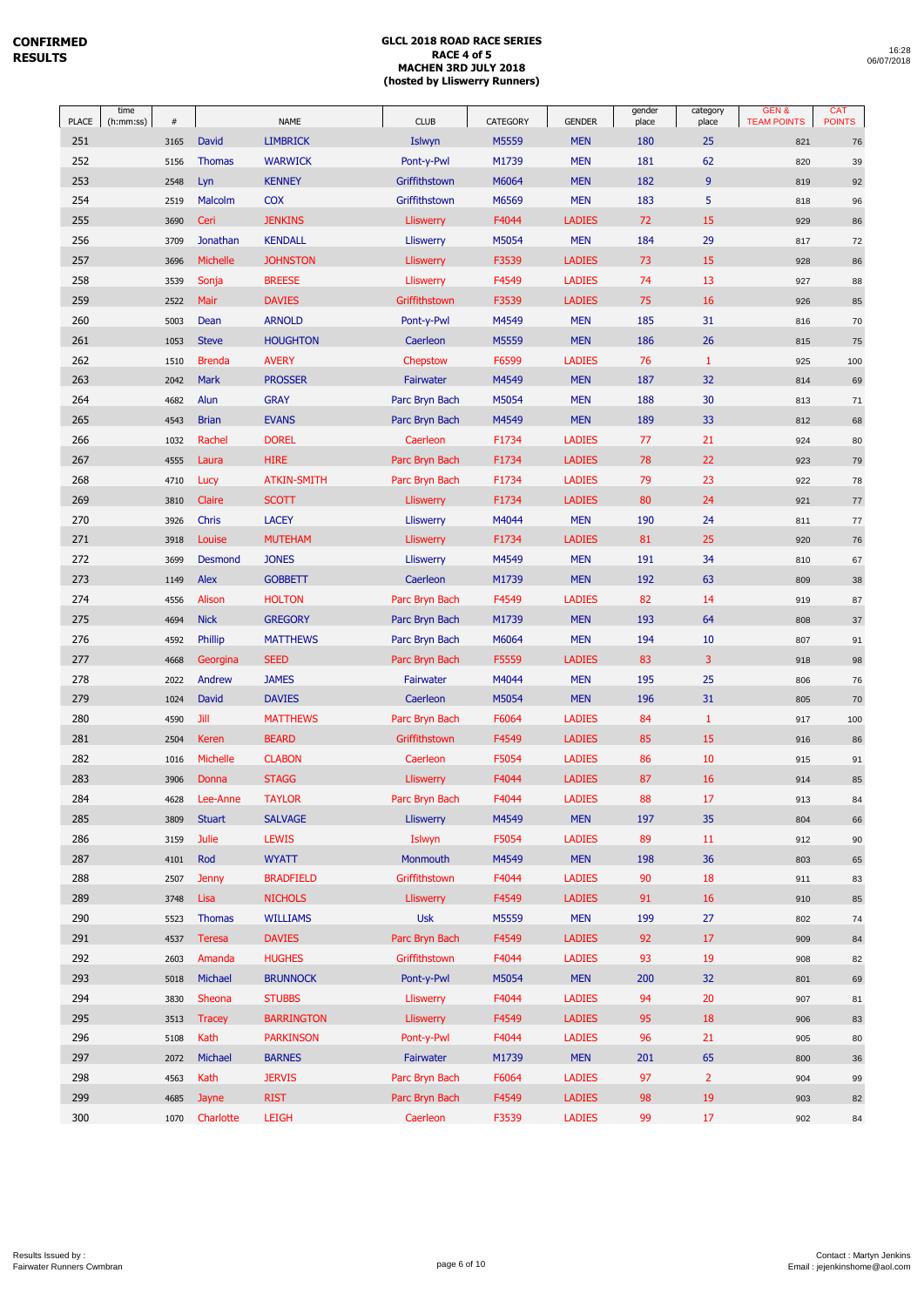| <b>PLACE</b> | time<br>(h:mm:ss) | #    |               | <b>NAME</b>        | <b>CLUB</b>      | CATEGORY | <b>GENDER</b> | gender<br>place | category<br>place | GEN&<br><b>TEAM POINTS</b> | <b>CAT</b><br><b>POINTS</b> |
|--------------|-------------------|------|---------------|--------------------|------------------|----------|---------------|-----------------|-------------------|----------------------------|-----------------------------|
| 251          |                   | 3165 | <b>David</b>  | <b>LIMBRICK</b>    | Islwyn           | M5559    | <b>MEN</b>    | 180             | 25                | 821                        | 76                          |
| 252          |                   | 5156 | <b>Thomas</b> | <b>WARWICK</b>     | Pont-y-Pwl       | M1739    | <b>MEN</b>    | 181             | 62                | 820                        | 39                          |
| 253          |                   | 2548 | Lyn           | <b>KENNEY</b>      | Griffithstown    | M6064    | <b>MEN</b>    | 182             | $9$               | 819                        | 92                          |
| 254          |                   | 2519 | Malcolm       | <b>COX</b>         | Griffithstown    | M6569    | <b>MEN</b>    | 183             | 5                 | 818                        | 96                          |
| 255          |                   | 3690 | Ceri          | <b>JENKINS</b>     | <b>Lliswerry</b> | F4044    | <b>LADIES</b> | 72              | 15                | 929                        | 86                          |
| 256          |                   | 3709 | Jonathan      | <b>KENDALL</b>     | <b>Lliswerry</b> | M5054    | <b>MEN</b>    | 184             | 29                | 817                        | 72                          |
| 257          |                   | 3696 | Michelle      | <b>JOHNSTON</b>    | Lliswerry        | F3539    | <b>LADIES</b> | 73              | 15                | 928                        | 86                          |
| 258          |                   | 3539 | Sonja         | <b>BREESE</b>      | Lliswerry        | F4549    | <b>LADIES</b> | 74              | 13                | 927                        | 88                          |
| 259          |                   | 2522 | Mair          | <b>DAVIES</b>      | Griffithstown    | F3539    | <b>LADIES</b> | 75              | 16                | 926                        | 85                          |
| 260          |                   | 5003 | Dean          | <b>ARNOLD</b>      | Pont-y-Pwl       | M4549    | <b>MEN</b>    | 185             | 31                | 816                        | 70                          |
| 261          |                   | 1053 | <b>Steve</b>  | <b>HOUGHTON</b>    | Caerleon         | M5559    | <b>MEN</b>    | 186             | 26                | 815                        | 75                          |
| 262          |                   | 1510 | <b>Brenda</b> | <b>AVERY</b>       | Chepstow         | F6599    | <b>LADIES</b> | 76              | $\mathbf{1}$      | 925                        | 100                         |
| 263          |                   | 2042 | Mark          | <b>PROSSER</b>     | Fairwater        | M4549    | <b>MEN</b>    | 187             | 32                | 814                        | 69                          |
| 264          |                   | 4682 | Alun          | <b>GRAY</b>        | Parc Bryn Bach   | M5054    | <b>MEN</b>    | 188             | 30                | 813                        | 71                          |
| 265          |                   | 4543 | <b>Brian</b>  | <b>EVANS</b>       | Parc Bryn Bach   | M4549    | <b>MEN</b>    | 189             | 33                | 812                        | 68                          |
| 266          |                   | 1032 | Rachel        | <b>DOREL</b>       | Caerleon         | F1734    | <b>LADIES</b> | 77              | 21                | 924                        | 80                          |
| 267          |                   | 4555 | Laura         | <b>HIRE</b>        | Parc Bryn Bach   | F1734    | <b>LADIES</b> | 78              | 22                | 923                        | 79                          |
| 268          |                   | 4710 | Lucy          | <b>ATKIN-SMITH</b> | Parc Bryn Bach   | F1734    | <b>LADIES</b> | 79              | 23                | 922                        | 78                          |
| 269          |                   | 3810 | Claire        | <b>SCOTT</b>       | <b>Lliswerry</b> | F1734    | <b>LADIES</b> | 80              | 24                | 921                        | $77 \,$                     |
| 270          |                   | 3926 | Chris         | <b>LACEY</b>       | <b>Lliswerry</b> | M4044    | <b>MEN</b>    | 190             | 24                | 811                        | 77                          |
| 271          |                   | 3918 | Louise        | <b>MUTEHAM</b>     | Lliswerry        | F1734    | <b>LADIES</b> | 81              | 25                | 920                        | 76                          |
| 272          |                   | 3699 | Desmond       | <b>JONES</b>       | <b>Lliswerry</b> | M4549    | <b>MEN</b>    | 191             | 34                | 810                        | 67                          |
| 273          |                   | 1149 | Alex          | <b>GOBBETT</b>     | Caerleon         | M1739    | <b>MEN</b>    | 192             | 63                | 809                        | 38                          |
| 274          |                   | 4556 | Alison        | <b>HOLTON</b>      | Parc Bryn Bach   | F4549    | <b>LADIES</b> | 82              | 14                | 919                        | 87                          |
| 275          |                   | 4694 | <b>Nick</b>   | <b>GREGORY</b>     | Parc Bryn Bach   | M1739    | <b>MEN</b>    | 193             | 64                | 808                        | 37                          |
| 276          |                   | 4592 | Phillip       | <b>MATTHEWS</b>    | Parc Bryn Bach   | M6064    | <b>MEN</b>    | 194             | 10                | 807                        | 91                          |
| 277          |                   | 4668 | Georgina      | <b>SEED</b>        | Parc Bryn Bach   | F5559    | <b>LADIES</b> | 83              | 3                 | 918                        | 98                          |
| 278          |                   | 2022 | Andrew        | <b>JAMES</b>       | Fairwater        | M4044    | <b>MEN</b>    | 195             | 25                | 806                        | 76                          |
| 279          |                   | 1024 | David         | <b>DAVIES</b>      | Caerleon         | M5054    | <b>MEN</b>    | 196             | 31                | 805                        | 70                          |
| 280          |                   | 4590 | Jill          | <b>MATTHEWS</b>    | Parc Bryn Bach   | F6064    | <b>LADIES</b> | 84              | $\mathbf{1}$      | 917                        | 100                         |
| 281          |                   | 2504 | Keren         | <b>BEARD</b>       | Griffithstown    | F4549    | <b>LADIES</b> | 85              | 15                | 916                        | 86                          |
| 282          |                   | 1016 | Michelle      | <b>CLABON</b>      | Caerleon         | F5054    | <b>LADIES</b> | 86              | 10                | 915                        | 91                          |
| 283          |                   | 3906 | Donna         | <b>STAGG</b>       | <b>Lliswerry</b> | F4044    | <b>LADIES</b> | 87              | 16                | 914                        | 85                          |
| 284          |                   | 4628 | Lee-Anne      | <b>TAYLOR</b>      | Parc Bryn Bach   | F4044    | <b>LADIES</b> | 88              | 17                | 913                        | 84                          |
| 285          |                   | 3809 | <b>Stuart</b> | <b>SALVAGE</b>     | <b>Lliswerry</b> | M4549    | <b>MEN</b>    | 197             | 35                | 804                        | 66                          |
| 286          |                   | 3159 | Julie         | <b>LEWIS</b>       | Islwyn           | F5054    | <b>LADIES</b> | 89              | 11                | 912                        | 90                          |
| 287          |                   | 4101 | Rod           | <b>WYATT</b>       | Monmouth         | M4549    | <b>MEN</b>    | 198             | 36                | 803                        | 65                          |
| 288          |                   | 2507 | <b>Jenny</b>  | <b>BRADFIELD</b>   | Griffithstown    | F4044    | <b>LADIES</b> | 90              | 18                | 911                        | 83                          |
| 289          |                   | 3748 | Lisa          | <b>NICHOLS</b>     | <b>Lliswerry</b> | F4549    | <b>LADIES</b> | 91              | 16                | 910                        | 85                          |
| 290          |                   | 5523 | <b>Thomas</b> | <b>WILLIAMS</b>    | <b>Usk</b>       | M5559    | <b>MEN</b>    | 199             | 27                | 802                        | 74                          |
| 291          |                   | 4537 | Teresa        | <b>DAVIES</b>      | Parc Bryn Bach   | F4549    | <b>LADIES</b> | 92              | 17                | 909                        | 84                          |
| 292          |                   | 2603 | Amanda        | <b>HUGHES</b>      | Griffithstown    | F4044    | <b>LADIES</b> | 93              | 19                | 908                        | 82                          |
| 293          |                   | 5018 | Michael       | <b>BRUNNOCK</b>    | Pont-y-Pwl       | M5054    | <b>MEN</b>    | 200             | 32                | 801                        | 69                          |
| 294          |                   | 3830 | Sheona        | <b>STUBBS</b>      | Lliswerry        | F4044    | <b>LADIES</b> | 94              | 20                | 907                        | 81                          |
| 295          |                   | 3513 | <b>Tracey</b> | <b>BARRINGTON</b>  | <b>Lliswerry</b> | F4549    | <b>LADIES</b> | 95              | 18                | 906                        | 83                          |
| 296          |                   | 5108 | Kath          | <b>PARKINSON</b>   | Pont-y-Pwl       | F4044    | <b>LADIES</b> | 96              | 21                | 905                        | 80                          |
| 297          |                   | 2072 | Michael       | <b>BARNES</b>      | Fairwater        | M1739    | <b>MEN</b>    | 201             | 65                | 800                        | 36                          |
| 298          |                   | 4563 | Kath          | <b>JERVIS</b>      | Parc Bryn Bach   | F6064    | <b>LADIES</b> | 97              | $\overline{2}$    | 904                        | 99                          |
| 299          |                   | 4685 | Jayne         | <b>RIST</b>        | Parc Bryn Bach   | F4549    | <b>LADIES</b> | 98              | 19                | 903                        | 82                          |
| 300          |                   | 1070 | Charlotte     | <b>LEIGH</b>       | Caerleon         | F3539    | <b>LADIES</b> | 99              | 17                | 902                        | 84                          |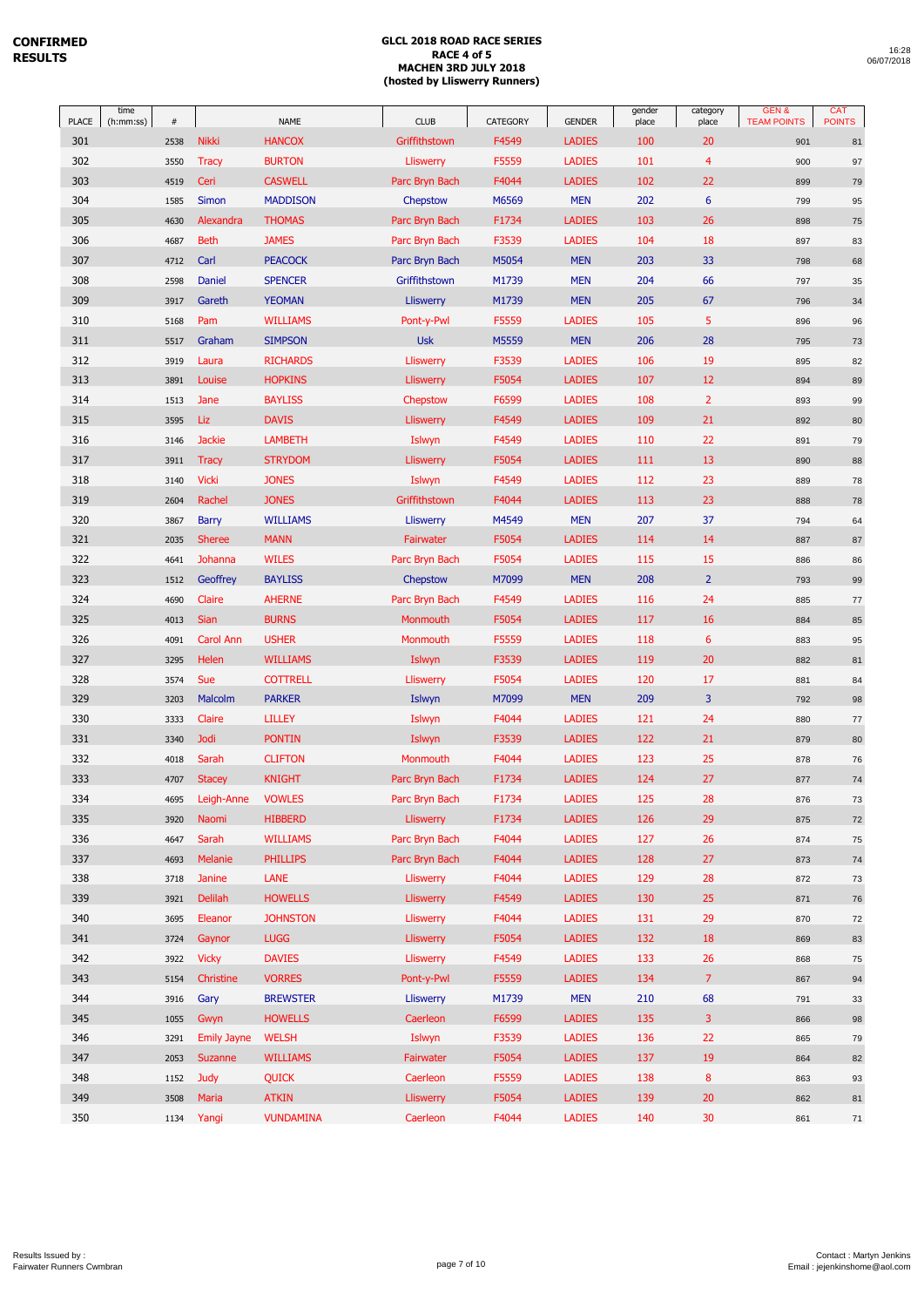|                     | time<br>(h:mm:ss) | $\#$ |                      |                              |                              |                   |                                | gender       | category       | GEN&<br><b>TEAM POINTS</b> | <b>CAT</b><br><b>POINTS</b> |
|---------------------|-------------------|------|----------------------|------------------------------|------------------------------|-------------------|--------------------------------|--------------|----------------|----------------------------|-----------------------------|
| <b>PLACE</b><br>301 |                   |      | <b>Nikki</b>         | <b>NAME</b><br><b>HANCOX</b> | <b>CLUB</b><br>Griffithstown | CATEGORY<br>F4549 | <b>GENDER</b><br><b>LADIES</b> | place<br>100 | place<br>20    |                            |                             |
| 302                 |                   | 2538 | <b>Tracy</b>         | <b>BURTON</b>                |                              | F5559             | <b>LADIES</b>                  | 101          | 4              | 901                        | 81                          |
| 303                 |                   | 3550 |                      | <b>CASWELL</b>               | Lliswerry                    | F4044             | <b>LADIES</b>                  | 102          | 22             | 900                        | 97                          |
| 304                 |                   | 4519 | Ceri<br><b>Simon</b> |                              | Parc Bryn Bach               | M6569             | <b>MEN</b>                     | 202          | 6              | 899                        | 79                          |
| 305                 |                   | 1585 | Alexandra            | <b>MADDISON</b>              | Chepstow                     |                   | <b>LADIES</b>                  | 103          | 26             | 799                        | 95                          |
|                     |                   | 4630 |                      | <b>THOMAS</b>                | Parc Bryn Bach               | F1734             |                                | 104          | 18             | 898                        | 75                          |
| 306                 |                   | 4687 | <b>Beth</b>          | <b>JAMES</b>                 | Parc Bryn Bach               | F3539             | <b>LADIES</b>                  |              |                | 897                        | 83                          |
| 307                 |                   | 4712 | Carl                 | <b>PEACOCK</b>               | Parc Bryn Bach               | M5054             | <b>MEN</b>                     | 203          | 33             | 798                        | 68                          |
| 308                 |                   | 2598 | Daniel               | <b>SPENCER</b>               | Griffithstown                | M1739             | <b>MEN</b>                     | 204          | 66             | 797                        | $35\,$                      |
| 309                 |                   | 3917 | Gareth               | <b>YEOMAN</b>                | <b>Lliswerry</b>             | M1739             | <b>MEN</b>                     | 205          | 67             | 796                        | 34                          |
| 310                 |                   | 5168 | Pam                  | <b>WILLIAMS</b>              | Pont-y-Pwl                   | F5559             | <b>LADIES</b>                  | 105          | 5              | 896                        | 96                          |
| 311                 |                   | 5517 | Graham               | <b>SIMPSON</b>               | <b>Usk</b>                   | M5559             | <b>MEN</b>                     | 206          | 28             | 795                        | 73                          |
| 312                 |                   | 3919 | Laura                | <b>RICHARDS</b>              | Lliswerry                    | F3539             | <b>LADIES</b>                  | 106          | 19             | 895                        | 82                          |
| 313                 |                   | 3891 | Louise               | <b>HOPKINS</b>               | <b>Lliswerry</b>             | F5054             | <b>LADIES</b>                  | 107          | 12             | 894                        | 89                          |
| 314                 |                   | 1513 | Jane                 | <b>BAYLISS</b>               | Chepstow                     | F6599             | <b>LADIES</b>                  | 108          | $\overline{2}$ | 893                        | 99                          |
| 315                 |                   | 3595 | Liz                  | <b>DAVIS</b>                 | Lliswerry                    | F4549             | <b>LADIES</b>                  | 109          | 21             | 892                        | 80                          |
| 316                 |                   | 3146 | <b>Jackie</b>        | <b>LAMBETH</b>               | Islwyn                       | F4549             | <b>LADIES</b>                  | 110          | 22             | 891                        | 79                          |
| 317                 |                   | 3911 | <b>Tracy</b>         | <b>STRYDOM</b>               | <b>Lliswerry</b>             | F5054             | <b>LADIES</b>                  | 111          | 13             | 890                        | 88                          |
| 318                 |                   | 3140 | <b>Vicki</b>         | <b>JONES</b>                 | Islwyn                       | F4549             | <b>LADIES</b>                  | 112          | 23             | 889                        | 78                          |
| 319                 |                   | 2604 | Rachel               | <b>JONES</b>                 | Griffithstown                | F4044             | <b>LADIES</b>                  | 113          | 23             | 888                        | 78                          |
| 320                 |                   | 3867 | <b>Barry</b>         | <b>WILLIAMS</b>              | <b>Lliswerry</b>             | M4549             | <b>MEN</b>                     | 207          | 37             | 794                        | 64                          |
| 321                 |                   | 2035 | <b>Sheree</b>        | <b>MANN</b>                  | Fairwater                    | F5054             | <b>LADIES</b>                  | 114          | 14             | 887                        | $87\,$                      |
| 322                 |                   | 4641 | Johanna              | <b>WILES</b>                 | Parc Bryn Bach               | F5054             | <b>LADIES</b>                  | 115          | 15             | 886                        | 86                          |
| 323                 |                   | 1512 | Geoffrey             | <b>BAYLISS</b>               | Chepstow                     | M7099             | <b>MEN</b>                     | 208          | $\overline{2}$ | 793                        | 99                          |
| 324                 |                   | 4690 | Claire               | <b>AHERNE</b>                | Parc Bryn Bach               | F4549             | <b>LADIES</b>                  | 116          | 24             | 885                        | 77                          |
| 325                 |                   | 4013 | Sian                 | <b>BURNS</b>                 | Monmouth                     | F5054             | <b>LADIES</b>                  | 117          | 16             | 884                        | 85                          |
| 326                 |                   | 4091 | Carol Ann            | <b>USHER</b>                 | Monmouth                     | F5559             | <b>LADIES</b>                  | 118          | 6              | 883                        | 95                          |
| 327                 |                   | 3295 | Helen                | <b>WILLIAMS</b>              | Islwyn                       | F3539             | <b>LADIES</b>                  | 119          | 20             | 882                        | 81                          |
| 328                 |                   | 3574 | Sue                  | <b>COTTRELL</b>              | <b>Lliswerry</b>             | F5054             | <b>LADIES</b>                  | 120          | 17             | 881                        | 84                          |
| 329                 |                   | 3203 | Malcolm              | <b>PARKER</b>                | Islwyn                       | M7099             | <b>MEN</b>                     | 209          | 3              | 792                        | 98                          |
| 330                 |                   | 3333 | Claire               | <b>LILLEY</b>                | Islwyn                       | F4044             | <b>LADIES</b>                  | 121          | 24             | 880                        | 77                          |
| 331                 |                   | 3340 | <b>Jodi</b>          | <b>PONTIN</b>                | Islwyn                       | F3539             | <b>LADIES</b>                  | 122          | 21             | 879                        | 80                          |
| 332                 |                   | 4018 | Sarah                | <b>CLIFTON</b>               | Monmouth                     | F4044             | <b>LADIES</b>                  | 123          | 25             | 878                        | 76                          |
| 333                 |                   | 4707 | <b>Stacey</b>        | <b>KNIGHT</b>                | Parc Bryn Bach               | F1734             | <b>LADIES</b>                  | 124          | 27             | 877                        | 74                          |
| 334                 |                   | 4695 | Leigh-Anne           | <b>VOWLES</b>                | Parc Bryn Bach               | F1734             | <b>LADIES</b>                  | 125          | 28             | 876                        | $73\,$                      |
| 335                 |                   | 3920 | Naomi                | <b>HIBBERD</b>               | Lliswerry                    | F1734             | <b>LADIES</b>                  | 126          | 29             | 875                        | 72                          |
| 336                 |                   | 4647 | Sarah                | <b>WILLIAMS</b>              | Parc Bryn Bach               | F4044             | <b>LADIES</b>                  | 127          | 26             | 874                        | 75                          |
| 337                 |                   | 4693 | <b>Melanie</b>       | <b>PHILLIPS</b>              | Parc Bryn Bach               | F4044             | <b>LADIES</b>                  | 128          | 27             | 873                        | ${\bf 74}$                  |
| 338                 |                   | 3718 | Janine               | LANE                         | Lliswerry                    | F4044             | <b>LADIES</b>                  | 129          | 28             | 872                        | 73                          |
| 339                 |                   | 3921 | <b>Delilah</b>       | <b>HOWELLS</b>               | <b>Lliswerry</b>             | F4549             | <b>LADIES</b>                  | 130          | 25             | 871                        | ${\bf 76}$                  |
| 340                 |                   | 3695 | Eleanor              | <b>JOHNSTON</b>              | Lliswerry                    | F4044             | <b>LADIES</b>                  | 131          | 29             | 870                        | 72                          |
| 341                 |                   | 3724 | Gaynor               | <b>LUGG</b>                  | <b>Lliswerry</b>             | F5054             | <b>LADIES</b>                  | 132          | 18             | 869                        | 83                          |
| 342                 |                   | 3922 | <b>Vicky</b>         | <b>DAVIES</b>                | <b>Lliswerry</b>             | F4549             | <b>LADIES</b>                  | 133          | 26             | 868                        | 75                          |
| 343                 |                   | 5154 | Christine            | <b>VORRES</b>                | Pont-y-Pwl                   | F5559             | <b>LADIES</b>                  | 134          | $\overline{7}$ | 867                        | 94                          |
| 344                 |                   | 3916 | Gary                 | <b>BREWSTER</b>              | <b>Lliswerry</b>             | M1739             | <b>MEN</b>                     | 210          | 68             | 791                        | 33                          |
| 345                 |                   | 1055 | Gwyn                 | <b>HOWELLS</b>               | Caerleon                     | F6599             | <b>LADIES</b>                  | 135          | 3              | 866                        | 98                          |
| 346                 |                   | 3291 | <b>Emily Jayne</b>   | <b>WELSH</b>                 | Islwyn                       | F3539             | <b>LADIES</b>                  | 136          | 22             | 865                        | 79                          |
| 347                 |                   | 2053 | Suzanne              | <b>WILLIAMS</b>              | Fairwater                    | F5054             | <b>LADIES</b>                  | 137          | 19             | 864                        | 82                          |
| 348                 |                   | 1152 | <b>Judy</b>          | <b>QUICK</b>                 | Caerleon                     | F5559             | <b>LADIES</b>                  | 138          | 8              | 863                        | 93                          |
| 349                 |                   | 3508 | Maria                | <b>ATKIN</b>                 | <b>Lliswerry</b>             | F5054             | <b>LADIES</b>                  | 139          | 20             | 862                        | 81                          |
| 350                 |                   | 1134 | Yangi                | <b>VUNDAMINA</b>             | Caerleon                     | F4044             | <b>LADIES</b>                  | 140          | 30             | 861                        | $71\,$                      |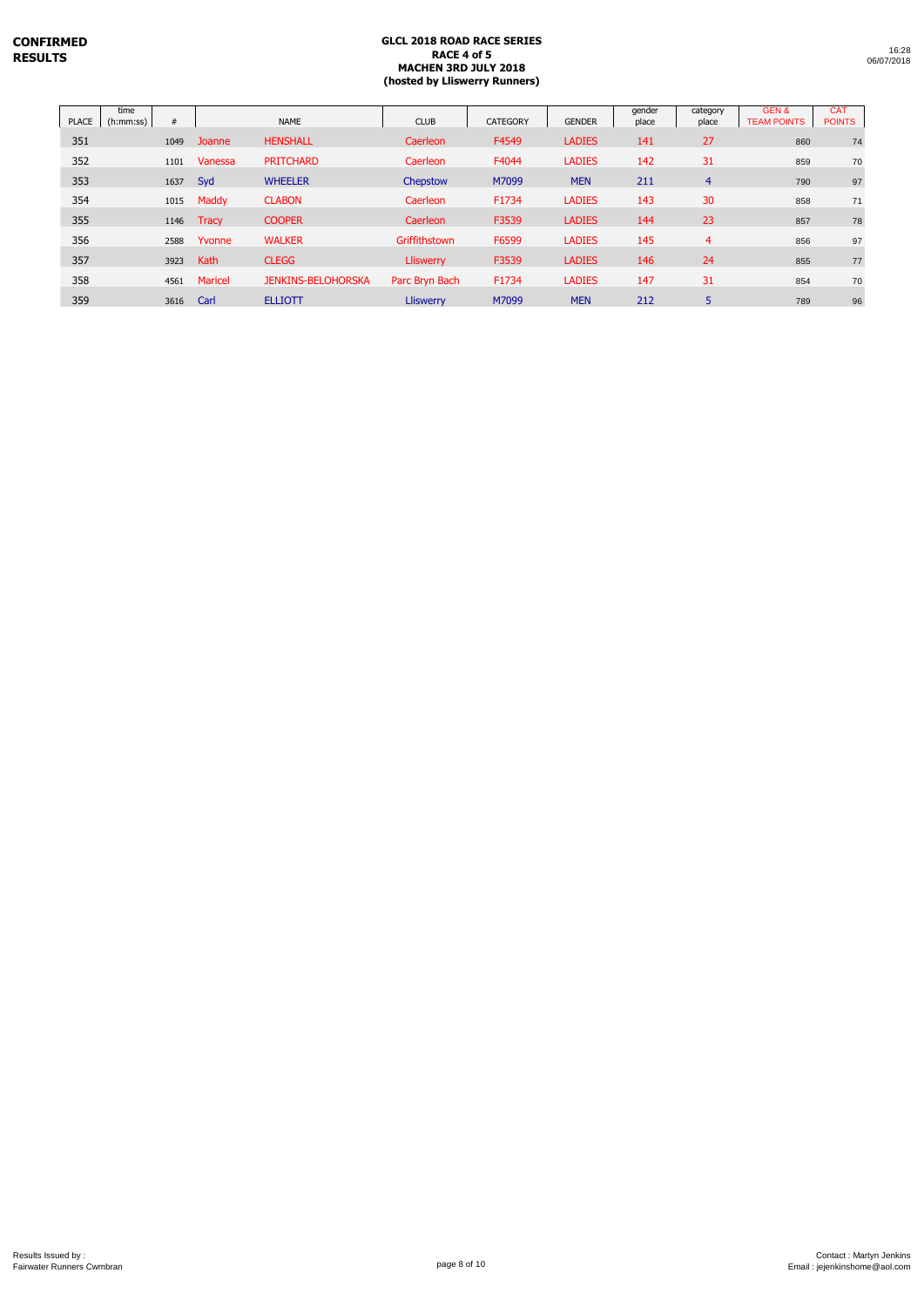|       |                   |      |         |                           | (hosted by Lliswerry Runners) |                 |               |                 |                   |                            |                             |
|-------|-------------------|------|---------|---------------------------|-------------------------------|-----------------|---------------|-----------------|-------------------|----------------------------|-----------------------------|
| PLACE | time<br>(h:mm:ss) | #    |         | <b>NAME</b>               | <b>CLUB</b>                   | <b>CATEGORY</b> | <b>GENDER</b> | gender<br>place | category<br>place | GEN&<br><b>TEAM POINTS</b> | <b>CAT</b><br><b>POINTS</b> |
| 351   |                   | 1049 | Joanne  | <b>HENSHALL</b>           | Caerleon                      | F4549           | <b>LADIES</b> | 141             | 27                | 860                        | 74                          |
| 352   |                   | 1101 | Vanessa | <b>PRITCHARD</b>          | Caerleon                      | F4044           | <b>LADIES</b> | 142             | 31                | 859                        | 7 <sub>C</sub>              |
| 353   |                   | 1637 | Syd     | <b>WHEELER</b>            | Chepstow                      | M7099           | <b>MEN</b>    | 211             | $\overline{4}$    | 790                        | 97                          |
| 354   |                   | 1015 | Maddy   | <b>CLABON</b>             | Caerleon                      | F1734           | <b>LADIES</b> | 143             | 30                | 858                        | 71                          |
| 355   |                   | 1146 | Tracy   | <b>COOPER</b>             | Caerleon                      | F3539           | <b>LADIES</b> | 144             | 23                | 857                        | 78                          |
| 356   |                   | 2588 | Yvonne  | <b>WALKER</b>             | Griffithstown                 | F6599           | <b>LADIES</b> | 145             | $\overline{4}$    | 856                        | 97                          |
| 357   |                   | 3923 | Kath    | <b>CLEGG</b>              | Lliswerry                     | F3539           | <b>LADIES</b> | 146             | 24                | 855                        | 77                          |
| 358   |                   | 4561 | Maricel | <b>JENKINS-BELOHORSKA</b> | Parc Bryn Bach                | F1734           | <b>LADIES</b> | 147             | 31                | 854                        | 7 <sub>C</sub>              |
| 359   |                   | 3616 | Carl    | <b>ELLIOTT</b>            | <b>Lliswerry</b>              | M7099           | <b>MEN</b>    | 212             | 5                 | 789                        | 96                          |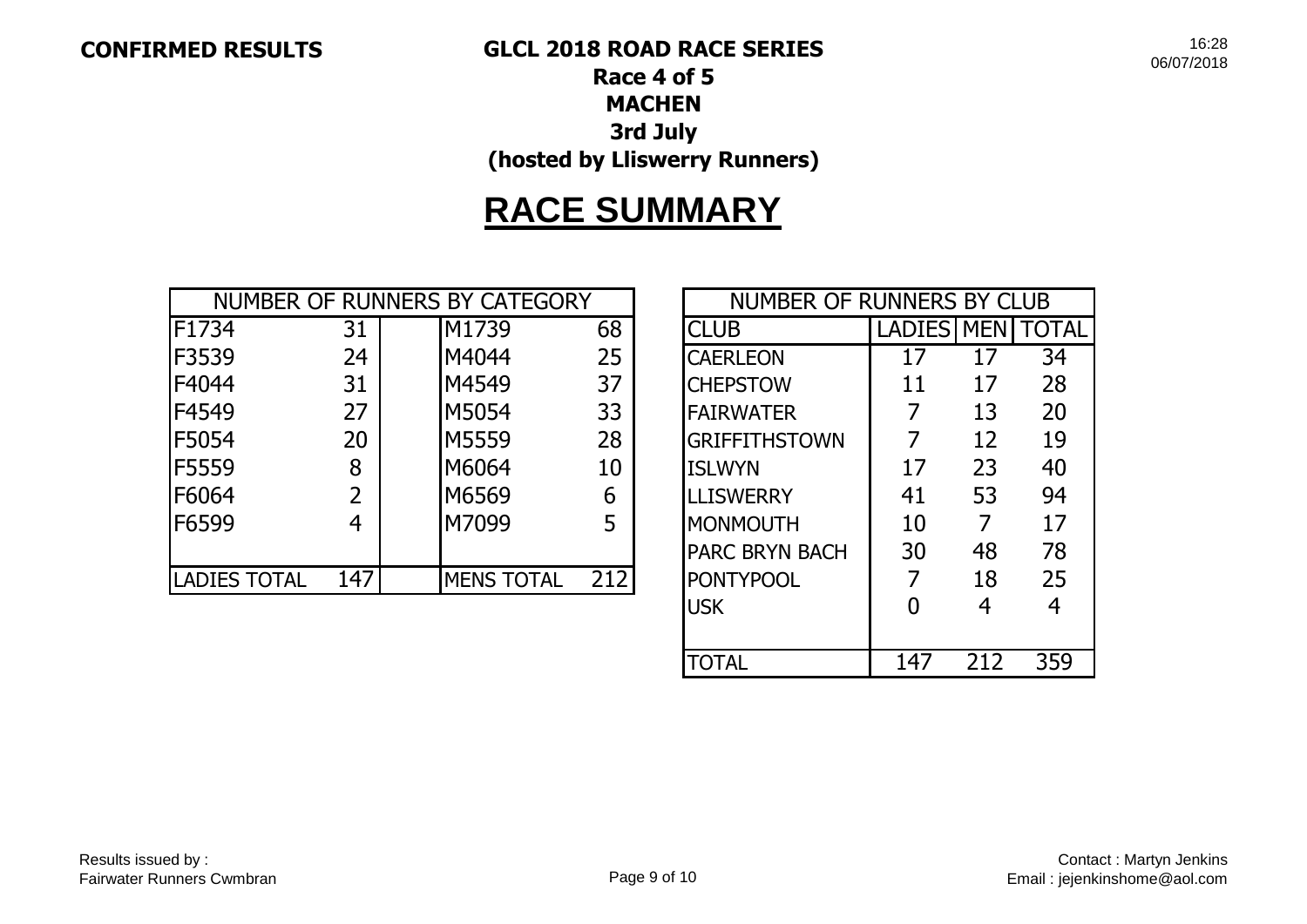**CONFIRMED RESULTS GLCL 2018 ROAD RACE SERIES**

16:28 06/07/2018

## **Race 4 of 5 MACHEN 3rd July (hosted by Lliswerry Runners)**

# **RACE SUMMARY**

|                     |     | NUMBER OF RUNNERS BY CATEGORY |     | NUMBER OF RUNNERS BY CLUB |               |            |       |
|---------------------|-----|-------------------------------|-----|---------------------------|---------------|------------|-------|
| F1734               | 31  | M1739                         | 68  | <b>CLUB</b>               | <b>LADIES</b> | <b>MEN</b> | TOTAL |
| F3539               | 24  | M4044                         | 25  | <b>CAERLEON</b>           | 17            | 17         | 34    |
| F4044               | 31  | M4549                         | 37  | <b>CHEPSTOW</b>           | 11            | 17         | 28    |
| F4549               | 27  | M5054                         | 33  | <b>FAIRWATER</b>          |               | 13         | 20    |
| F5054               | 20  | M5559                         | 28  | <b>GRIFFITHSTOWN</b>      |               | 12         | 19    |
| F5559               | 8   | M6064                         | 10  | <b>ISLWYN</b>             | 17            | 23         | 40    |
| F6064               |     | M6569                         | 6   | <b>LLISWERRY</b>          | 41            | 53         | 94    |
| F6599               | 4   | M7099                         | 5   | <b>MONMOUTH</b>           | 10            | 7          | 17    |
|                     |     |                               |     | <b>PARC BRYN BACH</b>     | 30            | 48         | 78    |
| <b>LADIES TOTAL</b> | 147 | <b>MENS TOTAL</b>             | 212 | <b>PONTYPOOL</b>          |               | 18         | 25    |

| <b>NUMBER OF RUNNERS BY CLUB</b> |                    |     |       |  |  |  |  |  |  |  |
|----------------------------------|--------------------|-----|-------|--|--|--|--|--|--|--|
| <b>CLUB</b>                      | <b>LADIES IMEN</b> |     | TOTAL |  |  |  |  |  |  |  |
| <b>CAERLEON</b>                  | 17                 | 17  | 34    |  |  |  |  |  |  |  |
| <b>CHEPSTOW</b>                  | 11                 | 17  | 28    |  |  |  |  |  |  |  |
| <b>IFAIRWATER</b>                | 7                  | 13  | 20    |  |  |  |  |  |  |  |
| <b>GRIFFITHSTOWN</b>             | 7                  | 12  | 19    |  |  |  |  |  |  |  |
| <b>ISLWYN</b>                    | 17                 | 23  | 40    |  |  |  |  |  |  |  |
| <b>LLISWERRY</b>                 | 41                 | 53  | 94    |  |  |  |  |  |  |  |
| MONMOUTH                         | 10                 | 7   | 17    |  |  |  |  |  |  |  |
| <b>PARC BRYN BACH</b>            | 30                 | 48  | 78    |  |  |  |  |  |  |  |
| <b>PONTYPOOL</b>                 | 7                  | 18  | 25    |  |  |  |  |  |  |  |
| <b>IUSK</b>                      | O                  | 4   | 4     |  |  |  |  |  |  |  |
|                                  |                    |     |       |  |  |  |  |  |  |  |
| <b>ILOTAL</b>                    |                    | 212 | 359   |  |  |  |  |  |  |  |